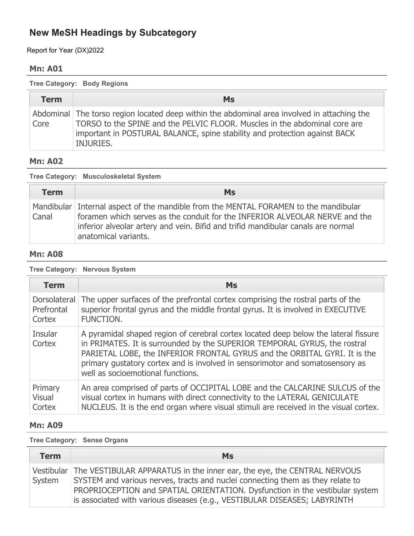Report for Year (DX)2022

### **Mn: A01**

**Tree Category: Body Regions**

| <b>Term</b> | <b>Ms</b>                                                                                                                                                                                                                                                            |
|-------------|----------------------------------------------------------------------------------------------------------------------------------------------------------------------------------------------------------------------------------------------------------------------|
| Core        | Abdominal The torso region located deep within the abdominal area involved in attaching the<br>TORSO to the SPINE and the PELVIC FLOOR. Muscles in the abdominal core are<br>important in POSTURAL BALANCE, spine stability and protection against BACK<br>INJURIES. |

## **Mn: A02**

| Tree Category: Musculoskeletal System |                                                                                                                                                                                                                                                                                 |
|---------------------------------------|---------------------------------------------------------------------------------------------------------------------------------------------------------------------------------------------------------------------------------------------------------------------------------|
| <b>Term</b>                           | <b>Ms</b>                                                                                                                                                                                                                                                                       |
| Canal                                 | Mandibular Internal aspect of the mandible from the MENTAL FORAMEN to the mandibular<br>foramen which serves as the conduit for the INFERIOR ALVEOLAR NERVE and the<br>inferior alveolar artery and vein. Bifid and trifid mandibular canals are normal<br>anatomical variants. |

### **Mn: A08**

**Tree Category: Nervous System**

| <b>Term</b>       | <b>Ms</b>                                                                                                                                                                                                                                                                                                                                                           |
|-------------------|---------------------------------------------------------------------------------------------------------------------------------------------------------------------------------------------------------------------------------------------------------------------------------------------------------------------------------------------------------------------|
| Dorsolateral      | The upper surfaces of the prefrontal cortex comprising the rostral parts of the                                                                                                                                                                                                                                                                                     |
| Prefrontal        | superior frontal gyrus and the middle frontal gyrus. It is involved in EXECUTIVE                                                                                                                                                                                                                                                                                    |
| Cortex            | FUNCTION.                                                                                                                                                                                                                                                                                                                                                           |
| Insular<br>Cortex | A pyramidal shaped region of cerebral cortex located deep below the lateral fissure<br>in PRIMATES. It is surrounded by the SUPERIOR TEMPORAL GYRUS, the rostral<br>PARIETAL LOBE, the INFERIOR FRONTAL GYRUS and the ORBITAL GYRI. It is the<br>primary gustatory cortex and is involved in sensorimotor and somatosensory as<br>well as socioemotional functions. |
| Primary           | An area comprised of parts of OCCIPITAL LOBE and the CALCARINE SULCUS of the                                                                                                                                                                                                                                                                                        |
| <b>Visual</b>     | visual cortex in humans with direct connectivity to the LATERAL GENICULATE                                                                                                                                                                                                                                                                                          |
| Cortex            | NUCLEUS. It is the end organ where visual stimuli are received in the visual cortex.                                                                                                                                                                                                                                                                                |

### **Mn: A09**

**Tree Category: Sense Organs**

| <b>Term</b> | <b>Ms</b>                                                                                                                                                                                                                                                                                                                           |
|-------------|-------------------------------------------------------------------------------------------------------------------------------------------------------------------------------------------------------------------------------------------------------------------------------------------------------------------------------------|
| System      | Vestibular   The VESTIBULAR APPARATUS in the inner ear, the eye, the CENTRAL NERVOUS<br>SYSTEM and various nerves, tracts and nuclei connecting them as they relate to<br>PROPRIOCEPTION and SPATIAL ORIENTATION. Dysfunction in the vestibular system<br>is associated with various diseases (e.g., VESTIBULAR DISEASES; LABYRINTH |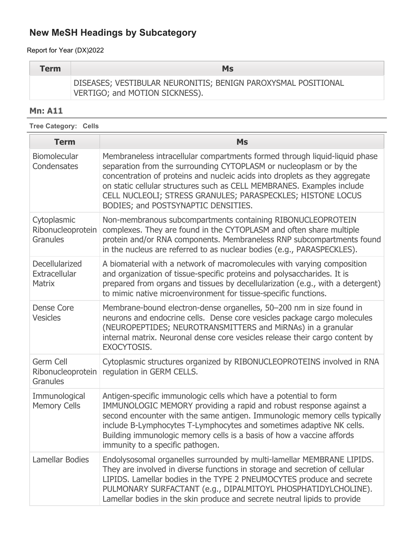Report for Year (DX)2022

| <b>Term</b> | <b>Ms</b>                                                     |
|-------------|---------------------------------------------------------------|
|             | DISEASES; VESTIBULAR NEURONITIS; BENIGN PAROXYSMAL POSITIONAL |
|             | VERTIGO; and MOTION SICKNESS).                                |

## **Mn: A11**

| <b>Tree Category: Cells</b>                         |                                                                                                                                                                                                                                                                                                                                                                                                                 |  |
|-----------------------------------------------------|-----------------------------------------------------------------------------------------------------------------------------------------------------------------------------------------------------------------------------------------------------------------------------------------------------------------------------------------------------------------------------------------------------------------|--|
| <b>Term</b>                                         | <b>Ms</b>                                                                                                                                                                                                                                                                                                                                                                                                       |  |
| <b>Biomolecular</b><br>Condensates                  | Membraneless intracellular compartments formed through liquid-liquid phase<br>separation from the surrounding CYTOPLASM or nucleoplasm or by the<br>concentration of proteins and nucleic acids into droplets as they aggregate<br>on static cellular structures such as CELL MEMBRANES. Examples include<br>CELL NUCLEOLI; STRESS GRANULES; PARASPECKLES; HISTONE LOCUS<br>BODIES; and POSTSYNAPTIC DENSITIES. |  |
| Cytoplasmic<br>Ribonucleoprotein<br><b>Granules</b> | Non-membranous subcompartments containing RIBONUCLEOPROTEIN<br>complexes. They are found in the CYTOPLASM and often share multiple<br>protein and/or RNA components. Membraneless RNP subcompartments found<br>in the nucleus are referred to as nuclear bodies (e.g., PARASPECKLES).                                                                                                                           |  |
| Decellularized<br>Extracellular<br><b>Matrix</b>    | A biomaterial with a network of macromolecules with varying composition<br>and organization of tissue-specific proteins and polysaccharides. It is<br>prepared from organs and tissues by decellularization (e.g., with a detergent)<br>to mimic native microenvironment for tissue-specific functions.                                                                                                         |  |
| <b>Dense Core</b><br><b>Vesicles</b>                | Membrane-bound electron-dense organelles, 50-200 nm in size found in<br>neurons and endocrine cells. Dense core vesicles package cargo molecules<br>(NEUROPEPTIDES; NEUROTRANSMITTERS and MiRNAs) in a granular<br>internal matrix. Neuronal dense core vesicles release their cargo content by<br>EXOCYTOSIS.                                                                                                  |  |
| Germ Cell<br>Ribonucleoprotein<br>Granules          | Cytoplasmic structures organized by RIBONUCLEOPROTEINS involved in RNA<br>regulation in GERM CELLS.                                                                                                                                                                                                                                                                                                             |  |
| Immunological<br><b>Memory Cells</b>                | Antigen-specific immunologic cells which have a potential to form<br>IMMUNOLOGIC MEMORY providing a rapid and robust response against a<br>second encounter with the same antigen. Immunologic memory cells typically<br>include B-Lymphocytes T-Lymphocytes and sometimes adaptive NK cells.<br>Building immunologic memory cells is a basis of how a vaccine affords<br>immunity to a specific pathogen.      |  |
| Lamellar Bodies                                     | Endolysosomal organelles surrounded by multi-lamellar MEMBRANE LIPIDS.<br>They are involved in diverse functions in storage and secretion of cellular<br>LIPIDS. Lamellar bodies in the TYPE 2 PNEUMOCYTES produce and secrete<br>PULMONARY SURFACTANT (e.g., DIPALMITOYL PHOSPHATIDYLCHOLINE).<br>Lamellar bodies in the skin produce and secrete neutral lipids to provide                                    |  |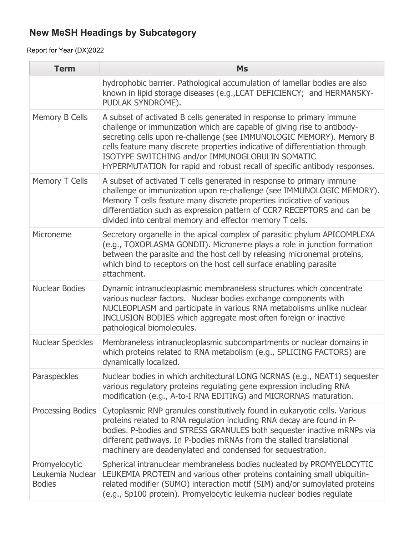| <b>Term</b>                                        | <b>Ms</b>                                                                                                                                                                                                                                                                                                                                                                                                                                |
|----------------------------------------------------|------------------------------------------------------------------------------------------------------------------------------------------------------------------------------------------------------------------------------------------------------------------------------------------------------------------------------------------------------------------------------------------------------------------------------------------|
|                                                    | hydrophobic barrier. Pathological accumulation of lamellar bodies are also<br>known in lipid storage diseases (e.g., LCAT DEFICIENCY; and HERMANSKY-<br>PUDLAK SYNDROME).                                                                                                                                                                                                                                                                |
| Memory B Cells                                     | A subset of activated B cells generated in response to primary immune<br>challenge or immunization which are capable of giving rise to antibody-<br>secreting cells upon re-challenge (see IMMUNOLOGIC MEMORY). Memory B<br>cells feature many discrete properties indicative of differentiation through<br>ISOTYPE SWITCHING and/or IMMUNOGLOBULIN SOMATIC<br>HYPERMUTATION for rapid and robust recall of specific antibody responses. |
| Memory T Cells                                     | A subset of activated T cells generated in response to primary immune<br>challenge or immunization upon re-challenge (see IMMUNOLOGIC MEMORY).<br>Memory T cells feature many discrete properties indicative of various<br>differentiation such as expression pattern of CCR7 RECEPTORS and can be<br>divided into central memory and effector memory T cells.                                                                           |
| Microneme                                          | Secretory organelle in the apical complex of parasitic phylum APICOMPLEXA<br>(e.g., TOXOPLASMA GONDII). Microneme plays a role in junction formation<br>between the parasite and the host cell by releasing micronemal proteins,<br>which bind to receptors on the host cell surface enabling parasite<br>attachment.                                                                                                                    |
| <b>Nuclear Bodies</b>                              | Dynamic intranucleoplasmic membraneless structures which concentrate<br>various nuclear factors. Nuclear bodies exchange components with<br>NUCLEOPLASM and participate in various RNA metabolisms unlike nuclear<br>INCLUSION BODIES which aggregate most often foreign or inactive<br>pathological biomolecules.                                                                                                                       |
| <b>Nuclear Speckles</b>                            | Membraneless intranucleoplasmic subcompartments or nuclear domains in<br>which proteins related to RNA metabolism (e.g., SPLICING FACTORS) are<br>dynamically localized.                                                                                                                                                                                                                                                                 |
| Paraspeckles                                       | Nuclear bodies in which architectural LONG NCRNAS (e.g., NEAT1) sequester<br>various regulatory proteins regulating gene expression including RNA<br>modification (e.g., A-to-I RNA EDITING) and MICRORNAS maturation.                                                                                                                                                                                                                   |
| Processing Bodies                                  | Cytoplasmic RNP granules constitutively found in eukaryotic cells. Various<br>proteins related to RNA regulation including RNA decay are found in P-<br>bodies. P-bodies and STRESS GRANULES both sequester inactive mRNPs via<br>different pathways. In P-bodies mRNAs from the stalled translational<br>machinery are deadenylated and condensed for sequestration.                                                                    |
| Promyelocytic<br>Leukemia Nuclear<br><b>Bodies</b> | Spherical intranuclear membraneless bodies nucleated by PROMYELOCYTIC<br>LEUKEMIA PROTEIN and various other proteins containing small ubiquitin-<br>related modifier (SUMO) interaction motif (SIM) and/or sumoylated proteins<br>(e.g., Sp100 protein). Promyelocytic leukemia nuclear bodies regulate                                                                                                                                  |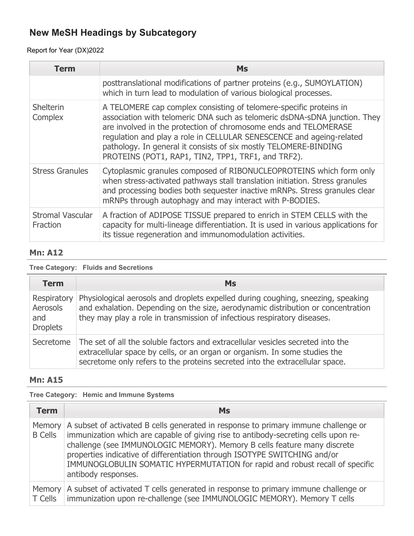## Report for Year (DX)2022

| Term                                | <b>Ms</b>                                                                                                                                                                                                                                                                                                                                                                                                              |
|-------------------------------------|------------------------------------------------------------------------------------------------------------------------------------------------------------------------------------------------------------------------------------------------------------------------------------------------------------------------------------------------------------------------------------------------------------------------|
|                                     | posttranslational modifications of partner proteins (e.g., SUMOYLATION)<br>which in turn lead to modulation of various biological processes.                                                                                                                                                                                                                                                                           |
| <b>Shelterin</b><br>Complex         | A TELOMERE cap complex consisting of telomere-specific proteins in<br>association with telomeric DNA such as telomeric dsDNA-sDNA junction. They<br>are involved in the protection of chromosome ends and TELOMERASE<br>regulation and play a role in CELLULAR SENESCENCE and ageing-related<br>pathology. In general it consists of six mostly TELOMERE-BINDING<br>PROTEINS (POT1, RAP1, TIN2, TPP1, TRF1, and TRF2). |
| <b>Stress Granules</b>              | Cytoplasmic granules composed of RIBONUCLEOPROTEINS which form only<br>when stress-activated pathways stall translation initiation. Stress granules<br>and processing bodies both sequester inactive mRNPs. Stress granules clear<br>mRNPs through autophagy and may interact with P-BODIES.                                                                                                                           |
| <b>Stromal Vascular</b><br>Fraction | A fraction of ADIPOSE TISSUE prepared to enrich in STEM CELLS with the<br>capacity for multi-lineage differentiation. It is used in various applications for<br>its tissue regeneration and immunomodulation activities.                                                                                                                                                                                               |

### **Mn: A12**

### **Tree Category: Fluids and Secretions**

| <b>Term</b>                                       | <b>Ms</b>                                                                                                                                                                                                                                        |
|---------------------------------------------------|--------------------------------------------------------------------------------------------------------------------------------------------------------------------------------------------------------------------------------------------------|
| Respiratory<br>Aerosols<br>and<br><b>Droplets</b> | Physiological aerosols and droplets expelled during coughing, sneezing, speaking<br>and exhalation. Depending on the size, aerodynamic distribution or concentration<br>they may play a role in transmission of infectious respiratory diseases. |
| Secretome                                         | The set of all the soluble factors and extracellular vesicles secreted into the<br>extracellular space by cells, or an organ or organism. In some studies the<br>secretome only refers to the proteins secreted into the extracellular space.    |

### **Mn: A15**

### **Tree Category: Hemic and Immune Systems**

| <b>Term</b>    | <b>Ms</b>                                                                                                                                                                                                                                                                                                                                                                                                                                         |
|----------------|---------------------------------------------------------------------------------------------------------------------------------------------------------------------------------------------------------------------------------------------------------------------------------------------------------------------------------------------------------------------------------------------------------------------------------------------------|
| <b>B</b> Cells | Memory   A subset of activated B cells generated in response to primary immune challenge or<br>immunization which are capable of giving rise to antibody-secreting cells upon re-<br>challenge (see IMMUNOLOGIC MEMORY). Memory B cells feature many discrete<br>properties indicative of differentiation through ISOTYPE SWITCHING and/or<br>IMMUNOGLOBULIN SOMATIC HYPERMUTATION for rapid and robust recall of specific<br>antibody responses. |
|                | Memory   A subset of activated T cells generated in response to primary immune challenge or<br>T Cells   immunization upon re-challenge (see IMMUNOLOGIC MEMORY). Memory T cells                                                                                                                                                                                                                                                                  |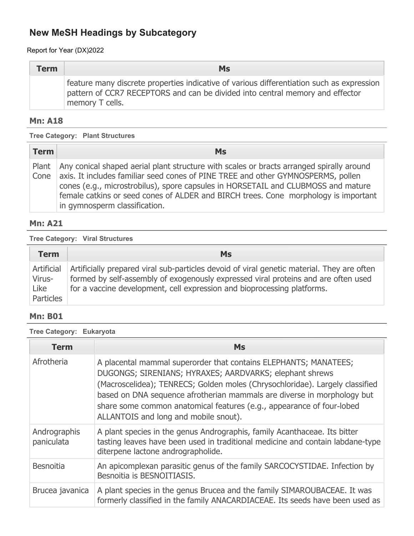Report for Year (DX)2022

| <b>Term</b> | <b>Ms</b>                                                                                                                                                                                     |
|-------------|-----------------------------------------------------------------------------------------------------------------------------------------------------------------------------------------------|
|             | feature many discrete properties indicative of various differentiation such as expression<br>pattern of CCR7 RECEPTORS and can be divided into central memory and effector<br>memory T cells. |

### **Mn: A18**

**Tree Category: Plant Structures**

| <b>Term</b> | Ms                                                                                                                                                                                                                                                                                                                                                                                                |
|-------------|---------------------------------------------------------------------------------------------------------------------------------------------------------------------------------------------------------------------------------------------------------------------------------------------------------------------------------------------------------------------------------------------------|
| Cone        | Plant   Any conical shaped aerial plant structure with scales or bracts arranged spirally around<br>axis. It includes familiar seed cones of PINE TREE and other GYMNOSPERMS, pollen<br>cones (e.g., microstrobilus), spore capsules in HORSETAIL and CLUBMOSS and mature<br>female catkins or seed cones of ALDER and BIRCH trees. Cone morphology is important<br>in gymnosperm classification. |

### **Mn: A21**

**Tree Category: Viral Structures**

| <b>Term</b>                               | <b>Ms</b>                                                                                                                                                                                                                                                   |
|-------------------------------------------|-------------------------------------------------------------------------------------------------------------------------------------------------------------------------------------------------------------------------------------------------------------|
| Artificial<br>Virus-<br>Like<br>Particles | Artificially prepared viral sub-particles devoid of viral genetic material. They are often<br>formed by self-assembly of exogenously expressed viral proteins and are often used<br>for a vaccine development, cell expression and bioprocessing platforms. |

### **Mn: B01**

**Tree Category: Eukaryota**

| <b>Term</b>                | <b>Ms</b>                                                                                                                                                                                                                                                                                                                                                                                                |
|----------------------------|----------------------------------------------------------------------------------------------------------------------------------------------------------------------------------------------------------------------------------------------------------------------------------------------------------------------------------------------------------------------------------------------------------|
| Afrotheria                 | A placental mammal superorder that contains ELEPHANTS; MANATEES;<br>DUGONGS; SIRENIANS; HYRAXES; AARDVARKS; elephant shrews<br>(Macroscelidea); TENRECS; Golden moles (Chrysochloridae). Largely classified<br>based on DNA sequence afrotherian mammals are diverse in morphology but<br>share some common anatomical features (e.g., appearance of four-lobed<br>ALLANTOIS and long and mobile snout). |
| Andrographis<br>paniculata | A plant species in the genus Andrographis, family Acanthaceae. Its bitter<br>tasting leaves have been used in traditional medicine and contain labdane-type<br>diterpene lactone andrographolide.                                                                                                                                                                                                        |
| <b>Besnoitia</b>           | An apicomplexan parasitic genus of the family SARCOCYSTIDAE. Infection by<br>Besnoitia is BESNOITIASIS.                                                                                                                                                                                                                                                                                                  |
| Brucea javanica            | A plant species in the genus Brucea and the family SIMAROUBACEAE. It was<br>formerly classified in the family ANACARDIACEAE. Its seeds have been used as                                                                                                                                                                                                                                                 |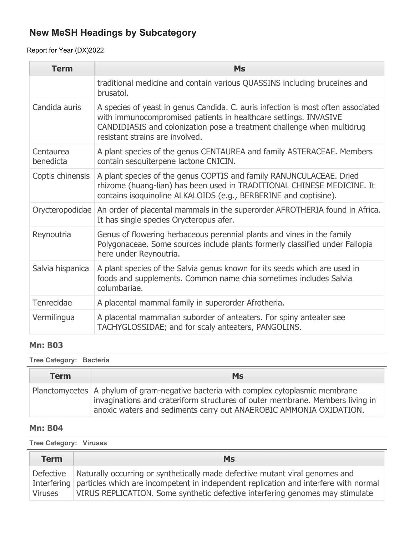Report for Year (DX)2022

| <b>Term</b>            | <b>Ms</b>                                                                                                                                                                                                                                                         |
|------------------------|-------------------------------------------------------------------------------------------------------------------------------------------------------------------------------------------------------------------------------------------------------------------|
|                        | traditional medicine and contain various QUASSINS including bruceines and<br>brusatol.                                                                                                                                                                            |
| Candida auris          | A species of yeast in genus Candida. C. auris infection is most often associated<br>with immunocompromised patients in healthcare settings. INVASIVE<br>CANDIDIASIS and colonization pose a treatment challenge when multidrug<br>resistant strains are involved. |
| Centaurea<br>benedicta | A plant species of the genus CENTAUREA and family ASTERACEAE. Members<br>contain sesquiterpene lactone CNICIN.                                                                                                                                                    |
| Coptis chinensis       | A plant species of the genus COPTIS and family RANUNCULACEAE. Dried<br>rhizome (huang-lian) has been used in TRADITIONAL CHINESE MEDICINE. It<br>contains isoquinoline ALKALOIDS (e.g., BERBERINE and coptisine).                                                 |
|                        | Orycteropodidae   An order of placental mammals in the superorder AFROTHERIA found in Africa.<br>It has single species Orycteropus afer.                                                                                                                          |
| Reynoutria             | Genus of flowering herbaceous perennial plants and vines in the family<br>Polygonaceae. Some sources include plants formerly classified under Fallopia<br>here under Reynoutria.                                                                                  |
| Salvia hispanica       | A plant species of the Salvia genus known for its seeds which are used in<br>foods and supplements. Common name chia sometimes includes Salvia<br>columbariae.                                                                                                    |
| Tenrecidae             | A placental mammal family in superorder Afrotheria.                                                                                                                                                                                                               |
| Vermilingua            | A placental mammalian suborder of anteaters. For spiny anteater see<br>TACHYGLOSSIDAE; and for scaly anteaters, PANGOLINS.                                                                                                                                        |

### **Mn: B03**

#### **Tree Category: Bacteria**

| <b>Term</b> | <b>Ms</b>                                                                                                                                                                                                                                    |
|-------------|----------------------------------------------------------------------------------------------------------------------------------------------------------------------------------------------------------------------------------------------|
|             | Planctomycetes   A phylum of gram-negative bacteria with complex cytoplasmic membrane<br>invaginations and crateriform structures of outer membrane. Members living in<br>anoxic waters and sediments carry out ANAEROBIC AMMONIA OXIDATION. |

#### **Mn: B04**

#### **Tree Category: Viruses**

| <b>Term</b>                 | Ms                                                                                                                                                                                                                                                                |
|-----------------------------|-------------------------------------------------------------------------------------------------------------------------------------------------------------------------------------------------------------------------------------------------------------------|
| Defective<br><b>Viruses</b> | Naturally occurring or synthetically made defective mutant viral genomes and<br>Interfering particles which are incompetent in independent replication and interfere with normal<br>VIRUS REPLICATION. Some synthetic defective interfering genomes may stimulate |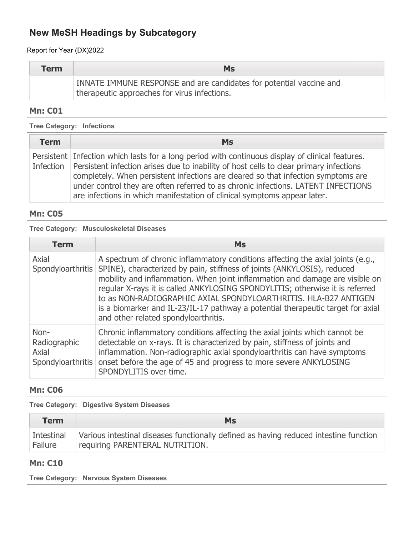Report for Year (DX)2022

| <b>Term</b> | <b>Ms</b>                                                           |
|-------------|---------------------------------------------------------------------|
|             | INNATE IMMUNE RESPONSE and are candidates for potential vaccine and |
|             | therapeutic approaches for virus infections.                        |

### **Mn: C01**

**Tree Category: Infections**

| <b>Term</b> | <b>Ms</b>                                                                                                                                                                                                                                                                                                                                                                                                                                                    |
|-------------|--------------------------------------------------------------------------------------------------------------------------------------------------------------------------------------------------------------------------------------------------------------------------------------------------------------------------------------------------------------------------------------------------------------------------------------------------------------|
|             | Persistent Infection which lasts for a long period with continuous display of clinical features.<br>Infection   Persistent infection arises due to inability of host cells to clear primary infections<br>completely. When persistent infections are cleared so that infection symptoms are<br>under control they are often referred to as chronic infections. LATENT INFECTIONS<br>are infections in which manifestation of clinical symptoms appear later. |

### **Mn: C05**

### **Tree Category: Musculoskeletal Diseases**

| <b>Term</b>                                        | <b>Ms</b>                                                                                                                                                                                                                                                                                                                                                                                                                                                                                                                |
|----------------------------------------------------|--------------------------------------------------------------------------------------------------------------------------------------------------------------------------------------------------------------------------------------------------------------------------------------------------------------------------------------------------------------------------------------------------------------------------------------------------------------------------------------------------------------------------|
| Axial<br>Spondyloarthritis                         | A spectrum of chronic inflammatory conditions affecting the axial joints (e.g.,<br>SPINE), characterized by pain, stiffness of joints (ANKYLOSIS), reduced<br>mobility and inflammation. When joint inflammation and damage are visible on<br>regular X-rays it is called ANKYLOSING SPONDYLITIS; otherwise it is referred<br>to as NON-RADIOGRAPHIC AXIAL SPONDYLOARTHRITIS. HLA-B27 ANTIGEN<br>is a biomarker and IL-23/IL-17 pathway a potential therapeutic target for axial<br>and other related spondyloarthritis. |
| Non-<br>Radiographic<br>Axial<br>Spondyloarthritis | Chronic inflammatory conditions affecting the axial joints which cannot be<br>detectable on x-rays. It is characterized by pain, stiffness of joints and<br>inflammation. Non-radiographic axial spondyloarthritis can have symptoms<br>onset before the age of 45 and progress to more severe ANKYLOSING<br>SPONDYLITIS over time.                                                                                                                                                                                      |

## **Mn: C06**

**Tree Category: Digestive System Diseases**

| Term       | Ms                                                                                    |
|------------|---------------------------------------------------------------------------------------|
| Intestinal | Various intestinal diseases functionally defined as having reduced intestine function |
| Failure    | requiring PARENTERAL NUTRITION.                                                       |

### **Mn: C10**

**Tree Category: Nervous System Diseases**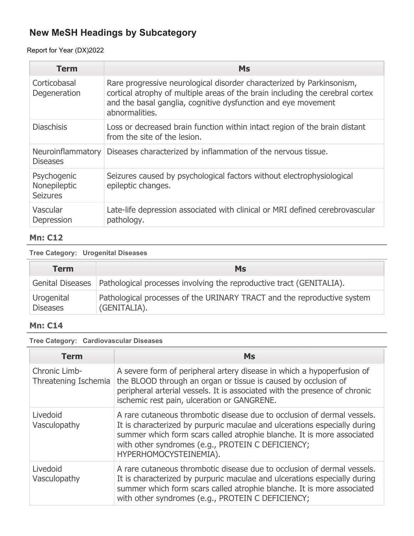## Report for Year (DX)2022

| <b>Term</b>                                    | <b>Ms</b>                                                                                                                                                                                                                                 |
|------------------------------------------------|-------------------------------------------------------------------------------------------------------------------------------------------------------------------------------------------------------------------------------------------|
| Corticobasal<br>Degeneration                   | Rare progressive neurological disorder characterized by Parkinsonism,<br>cortical atrophy of multiple areas of the brain including the cerebral cortex<br>and the basal ganglia, cognitive dysfunction and eye movement<br>abnormalities. |
| <b>Diaschisis</b>                              | Loss or decreased brain function within intact region of the brain distant<br>from the site of the lesion.                                                                                                                                |
| Neuroinflammatory<br><b>Diseases</b>           | Diseases characterized by inflammation of the nervous tissue.                                                                                                                                                                             |
| Psychogenic<br>Nonepileptic<br><b>Seizures</b> | Seizures caused by psychological factors without electrophysiological<br>epileptic changes.                                                                                                                                               |
| Vascular<br>Depression                         | Late-life depression associated with clinical or MRI defined cerebrovascular<br>pathology.                                                                                                                                                |

## **Mn: C12**

#### **Tree Category: Urogenital Diseases**

| <b>Term</b>                   | <b>Ms</b>                                                                               |
|-------------------------------|-----------------------------------------------------------------------------------------|
|                               | Genital Diseases   Pathological processes involving the reproductive tract (GENITALIA). |
| Urogenital<br><b>Diseases</b> | Pathological processes of the URINARY TRACT and the reproductive system<br>(GENITALIA). |

## **Mn: C14**

### **Tree Category: Cardiovascular Diseases**

| Term                                  | <b>Ms</b>                                                                                                                                                                                                                                                                                                     |
|---------------------------------------|---------------------------------------------------------------------------------------------------------------------------------------------------------------------------------------------------------------------------------------------------------------------------------------------------------------|
| Chronic Limb-<br>Threatening Ischemia | A severe form of peripheral artery disease in which a hypoperfusion of<br>the BLOOD through an organ or tissue is caused by occlusion of<br>peripheral arterial vessels. It is associated with the presence of chronic<br>ischemic rest pain, ulceration or GANGRENE.                                         |
| Livedoid<br>Vasculopathy              | A rare cutaneous thrombotic disease due to occlusion of dermal vessels.<br>It is characterized by purpuric maculae and ulcerations especially during<br>summer which form scars called atrophie blanche. It is more associated<br>with other syndromes (e.g., PROTEIN C DEFICIENCY;<br>HYPERHOMOCYSTEINEMIA). |
| Livedoid<br>Vasculopathy              | A rare cutaneous thrombotic disease due to occlusion of dermal vessels.<br>It is characterized by purpuric maculae and ulcerations especially during<br>summer which form scars called atrophie blanche. It is more associated<br>with other syndromes (e.g., PROTEIN C DEFICIENCY;                           |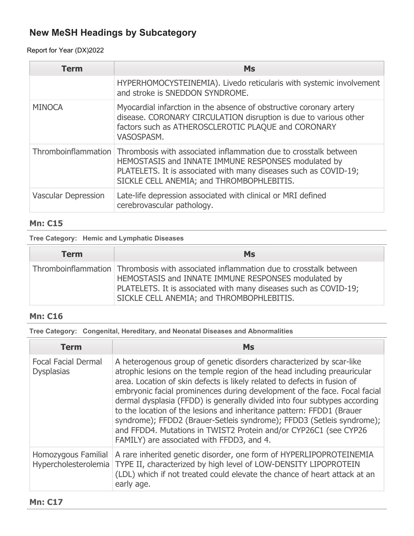### Report for Year (DX)2022

| <b>Term</b>                | <b>Ms</b>                                                                                                                                                                                                                                                    |
|----------------------------|--------------------------------------------------------------------------------------------------------------------------------------------------------------------------------------------------------------------------------------------------------------|
|                            | HYPERHOMOCYSTEINEMIA). Livedo reticularis with systemic involvement<br>and stroke is SNEDDON SYNDROME.                                                                                                                                                       |
| <b>MINOCA</b>              | Myocardial infarction in the absence of obstructive coronary artery<br>disease. CORONARY CIRCULATION disruption is due to various other<br>factors such as ATHEROSCLEROTIC PLAQUE and CORONARY<br>VASOSPASM.                                                 |
|                            | Thromboinflammation Thrombosis with associated inflammation due to crosstalk between<br>HEMOSTASIS and INNATE IMMUNE RESPONSES modulated by<br>PLATELETS. It is associated with many diseases such as COVID-19;<br>SICKLE CELL ANEMIA; and THROMBOPHLEBITIS. |
| <b>Vascular Depression</b> | Late-life depression associated with clinical or MRI defined<br>cerebrovascular pathology.                                                                                                                                                                   |

### **Mn: C15**

#### **Tree Category: Hemic and Lymphatic Diseases**

| <b>Term</b> | <b>Ms</b>                                                                                                                                                                                                                                                    |
|-------------|--------------------------------------------------------------------------------------------------------------------------------------------------------------------------------------------------------------------------------------------------------------|
|             | Thromboinflammation Thrombosis with associated inflammation due to crosstalk between<br>HEMOSTASIS and INNATE IMMUNE RESPONSES modulated by<br>PLATELETS. It is associated with many diseases such as COVID-19;<br>SICKLE CELL ANEMIA; and THROMBOPHLEBITIS. |

### **Mn: C16**

**Tree Category: Congenital, Hereditary, and Neonatal Diseases and Abnormalities**

| Term                                            | Ms                                                                                                                                                                                                                                                                                                                                                                                                                                                                                                                                                                                                                                                        |
|-------------------------------------------------|-----------------------------------------------------------------------------------------------------------------------------------------------------------------------------------------------------------------------------------------------------------------------------------------------------------------------------------------------------------------------------------------------------------------------------------------------------------------------------------------------------------------------------------------------------------------------------------------------------------------------------------------------------------|
| <b>Focal Facial Dermal</b><br><b>Dysplasias</b> | A heterogenous group of genetic disorders characterized by scar-like<br>atrophic lesions on the temple region of the head including preauricular<br>area. Location of skin defects is likely related to defects in fusion of<br>embryonic facial prominences during development of the face. Focal facial<br>dermal dysplasia (FFDD) is generally divided into four subtypes according<br>to the location of the lesions and inheritance pattern: FFDD1 (Brauer<br>syndrome); FFDD2 (Brauer-Setleis syndrome); FFDD3 (Setleis syndrome);<br>and FFDD4. Mutations in TWIST2 Protein and/or CYP26C1 (see CYP26<br>FAMILY) are associated with FFDD3, and 4. |
| Homozygous Familial                             | A rare inherited genetic disorder, one form of HYPERLIPOPROTEINEMIA<br>Hypercholesterolemia   TYPE II, characterized by high level of LOW-DENSITY LIPOPROTEIN<br>(LDL) which if not treated could elevate the chance of heart attack at an<br>early age.                                                                                                                                                                                                                                                                                                                                                                                                  |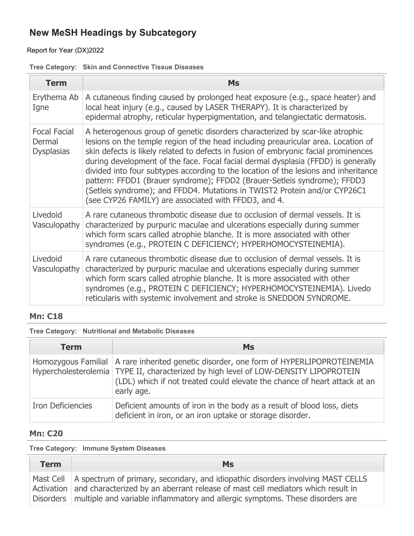### Report for Year (DX)2022

### **Tree Category: Skin and Connective Tissue Diseases**

| <b>Term</b>                                        | <b>Ms</b>                                                                                                                                                                                                                                                                                                                                                                                                                                                                                                                                                                                                                                              |
|----------------------------------------------------|--------------------------------------------------------------------------------------------------------------------------------------------------------------------------------------------------------------------------------------------------------------------------------------------------------------------------------------------------------------------------------------------------------------------------------------------------------------------------------------------------------------------------------------------------------------------------------------------------------------------------------------------------------|
| Erythema Ab<br>Igne                                | A cutaneous finding caused by prolonged heat exposure (e.g., space heater) and<br>local heat injury (e.g., caused by LASER THERAPY). It is characterized by<br>epidermal atrophy, reticular hyperpigmentation, and telangiectatic dermatosis.                                                                                                                                                                                                                                                                                                                                                                                                          |
| <b>Focal Facial</b><br>Dermal<br><b>Dysplasias</b> | A heterogenous group of genetic disorders characterized by scar-like atrophic<br>lesions on the temple region of the head including preauricular area. Location of<br>skin defects is likely related to defects in fusion of embryonic facial prominences<br>during development of the face. Focal facial dermal dysplasia (FFDD) is generally<br>divided into four subtypes according to the location of the lesions and inheritance<br>pattern: FFDD1 (Brauer syndrome); FFDD2 (Brauer-Setleis syndrome); FFDD3<br>(Setleis syndrome); and FFDD4. Mutations in TWIST2 Protein and/or CYP26C1<br>(see CYP26 FAMILY) are associated with FFDD3, and 4. |
| Livedoid<br>Vasculopathy                           | A rare cutaneous thrombotic disease due to occlusion of dermal vessels. It is<br>characterized by purpuric maculae and ulcerations especially during summer<br>which form scars called atrophie blanche. It is more associated with other<br>syndromes (e.g., PROTEIN C DEFICIENCY; HYPERHOMOCYSTEINEMIA).                                                                                                                                                                                                                                                                                                                                             |
| Livedoid<br>Vasculopathy                           | A rare cutaneous thrombotic disease due to occlusion of dermal vessels. It is<br>characterized by purpuric maculae and ulcerations especially during summer<br>which form scars called atrophie blanche. It is more associated with other<br>syndromes (e.g., PROTEIN C DEFICIENCY; HYPERHOMOCYSTEINEMIA). Livedo<br>reticularis with systemic involvement and stroke is SNEDDON SYNDROME.                                                                                                                                                                                                                                                             |

### **Mn: C18**

#### **Tree Category: Nutritional and Metabolic Diseases**

| <b>Term</b>              | <b>Ms</b>                                                                                                                                                                                                                                                                      |
|--------------------------|--------------------------------------------------------------------------------------------------------------------------------------------------------------------------------------------------------------------------------------------------------------------------------|
|                          | Homozygous Familial   A rare inherited genetic disorder, one form of HYPERLIPOPROTEINEMIA<br>Hypercholesterolemia   TYPE II, characterized by high level of LOW-DENSITY LIPOPROTEIN<br>(LDL) which if not treated could elevate the chance of heart attack at an<br>early age. |
| <b>Iron Deficiencies</b> | Deficient amounts of iron in the body as a result of blood loss, diets<br>deficient in iron, or an iron uptake or storage disorder.                                                                                                                                            |

## **Mn: C20**

#### **Tree Category: Immune System Diseases**

| <b>Term</b> | <b>Ms</b>                                                                                                                                                                                                                                                                              |
|-------------|----------------------------------------------------------------------------------------------------------------------------------------------------------------------------------------------------------------------------------------------------------------------------------------|
|             | Mast Cell   A spectrum of primary, secondary, and idiopathic disorders involving MAST CELLS<br>Activation and characterized by an aberrant release of mast cell mediators which result in<br>Disorders   multiple and variable inflammatory and allergic symptoms. These disorders are |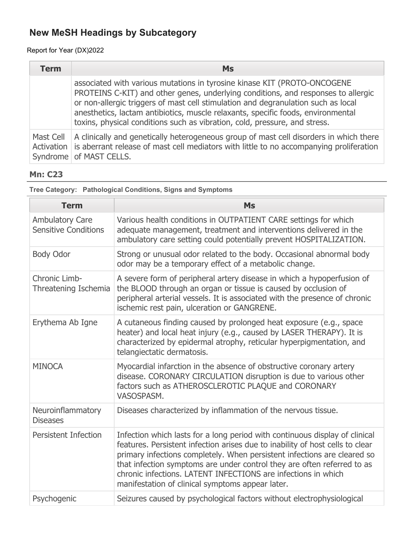### Report for Year (DX)2022

| <b>Term</b> | <b>Ms</b>                                                                                                                                                                                                                                                                                                                                                                                                            |
|-------------|----------------------------------------------------------------------------------------------------------------------------------------------------------------------------------------------------------------------------------------------------------------------------------------------------------------------------------------------------------------------------------------------------------------------|
|             | associated with various mutations in tyrosine kinase KIT (PROTO-ONCOGENE<br>PROTEINS C-KIT) and other genes, underlying conditions, and responses to allergic<br>or non-allergic triggers of mast cell stimulation and degranulation such as local<br>anesthetics, lactam antibiotics, muscle relaxants, specific foods, environmental<br>toxins, physical conditions such as vibration, cold, pressure, and stress. |
| Mast Cell   | A clinically and genetically heterogeneous group of mast cell disorders in which there<br>Activation is aberrant release of mast cell mediators with little to no accompanying proliferation<br>Syndrome of MAST CELLS.                                                                                                                                                                                              |

### **Mn: C23**

**Tree Category: Pathological Conditions, Signs and Symptoms**

| <b>Term</b>                                           | <b>Ms</b>                                                                                                                                                                                                                                                                                                                                                                                                                                |
|-------------------------------------------------------|------------------------------------------------------------------------------------------------------------------------------------------------------------------------------------------------------------------------------------------------------------------------------------------------------------------------------------------------------------------------------------------------------------------------------------------|
| <b>Ambulatory Care</b><br><b>Sensitive Conditions</b> | Various health conditions in OUTPATIENT CARE settings for which<br>adequate management, treatment and interventions delivered in the<br>ambulatory care setting could potentially prevent HOSPITALIZATION.                                                                                                                                                                                                                               |
| <b>Body Odor</b>                                      | Strong or unusual odor related to the body. Occasional abnormal body<br>odor may be a temporary effect of a metabolic change.                                                                                                                                                                                                                                                                                                            |
| Chronic Limb-<br>Threatening Ischemia                 | A severe form of peripheral artery disease in which a hypoperfusion of<br>the BLOOD through an organ or tissue is caused by occlusion of<br>peripheral arterial vessels. It is associated with the presence of chronic<br>ischemic rest pain, ulceration or GANGRENE.                                                                                                                                                                    |
| Erythema Ab Igne                                      | A cutaneous finding caused by prolonged heat exposure (e.g., space<br>heater) and local heat injury (e.g., caused by LASER THERAPY). It is<br>characterized by epidermal atrophy, reticular hyperpigmentation, and<br>telangiectatic dermatosis.                                                                                                                                                                                         |
| <b>MINOCA</b>                                         | Myocardial infarction in the absence of obstructive coronary artery<br>disease. CORONARY CIRCULATION disruption is due to various other<br>factors such as ATHEROSCLEROTIC PLAQUE and CORONARY<br>VASOSPASM.                                                                                                                                                                                                                             |
| Neuroinflammatory<br><b>Diseases</b>                  | Diseases characterized by inflammation of the nervous tissue.                                                                                                                                                                                                                                                                                                                                                                            |
| <b>Persistent Infection</b>                           | Infection which lasts for a long period with continuous display of clinical<br>features. Persistent infection arises due to inability of host cells to clear<br>primary infections completely. When persistent infections are cleared so<br>that infection symptoms are under control they are often referred to as<br>chronic infections. LATENT INFECTIONS are infections in which<br>manifestation of clinical symptoms appear later. |
| Psychogenic                                           | Seizures caused by psychological factors without electrophysiological                                                                                                                                                                                                                                                                                                                                                                    |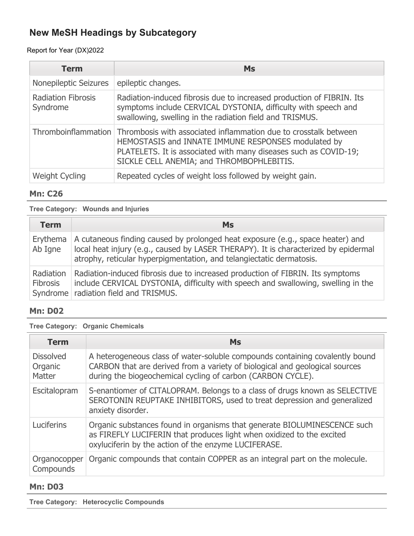### Report for Year (DX)2022

| <b>Term</b>                           | <b>Ms</b>                                                                                                                                                                                                                                                      |
|---------------------------------------|----------------------------------------------------------------------------------------------------------------------------------------------------------------------------------------------------------------------------------------------------------------|
| Nonepileptic Seizures                 | epileptic changes.                                                                                                                                                                                                                                             |
| <b>Radiation Fibrosis</b><br>Syndrome | Radiation-induced fibrosis due to increased production of FIBRIN. Its<br>symptoms include CERVICAL DYSTONIA, difficulty with speech and<br>swallowing, swelling in the radiation field and TRISMUS.                                                            |
|                                       | Thromboinflammation   Thrombosis with associated inflammation due to crosstalk between<br>HEMOSTASIS and INNATE IMMUNE RESPONSES modulated by<br>PLATELETS. It is associated with many diseases such as COVID-19;<br>SICKLE CELL ANEMIA; and THROMBOPHLEBITIS. |
| <b>Weight Cycling</b>                 | Repeated cycles of weight loss followed by weight gain.                                                                                                                                                                                                        |

### **Mn: C26**

**Tree Category: Wounds and Injuries**

| <b>Term</b>                  | <b>Ms</b>                                                                                                                                                                                                                                     |
|------------------------------|-----------------------------------------------------------------------------------------------------------------------------------------------------------------------------------------------------------------------------------------------|
| Erythema<br>Ab Igne          | A cutaneous finding caused by prolonged heat exposure (e.g., space heater) and<br>local heat injury (e.g., caused by LASER THERAPY). It is characterized by epidermal<br>atrophy, reticular hyperpigmentation, and telangiectatic dermatosis. |
| Radiation<br><b>Fibrosis</b> | Radiation-induced fibrosis due to increased production of FIBRIN. Its symptoms<br>include CERVICAL DYSTONIA, difficulty with speech and swallowing, swelling in the<br>Syndrome   radiation field and TRISMUS.                                |

#### **Mn: D02**

**Tree Category: Organic Chemicals**

| <b>Term</b>                           | <b>Ms</b>                                                                                                                                                                                                                  |
|---------------------------------------|----------------------------------------------------------------------------------------------------------------------------------------------------------------------------------------------------------------------------|
| <b>Dissolved</b><br>Organic<br>Matter | A heterogeneous class of water-soluble compounds containing covalently bound<br>CARBON that are derived from a variety of biological and geological sources<br>during the biogeochemical cycling of carbon (CARBON CYCLE). |
| Escitalopram                          | S-enantiomer of CITALOPRAM. Belongs to a class of drugs known as SELECTIVE<br>SEROTONIN REUPTAKE INHIBITORS, used to treat depression and generalized<br>anxiety disorder.                                                 |
| Luciferins                            | Organic substances found in organisms that generate BIOLUMINESCENCE such<br>as FIREFLY LUCIFERIN that produces light when oxidized to the excited<br>oxyluciferin by the action of the enzyme LUCIFERASE.                  |
| Organocopper<br>Compounds             | Organic compounds that contain COPPER as an integral part on the molecule.                                                                                                                                                 |

#### **Mn: D03**

**Tree Category: Heterocyclic Compounds**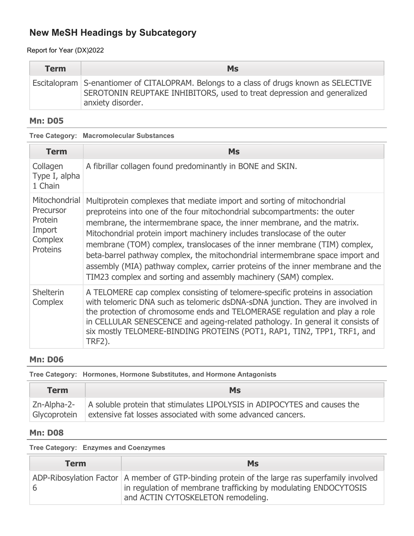Report for Year (DX)2022

| <b>Term</b> | <b>Ms</b>                                                                                                                                                                               |
|-------------|-----------------------------------------------------------------------------------------------------------------------------------------------------------------------------------------|
|             | Escitalopram S-enantiomer of CITALOPRAM. Belongs to a class of drugs known as SELECTIVE<br>SEROTONIN REUPTAKE INHIBITORS, used to treat depression and generalized<br>anxiety disorder. |

#### **Mn: D05**

**Tree Category: Macromolecular Substances**

| <b>Term</b>                                                                   | <b>Ms</b>                                                                                                                                                                                                                                                                                                                                                                                                                                                                                                                                                                                                                     |
|-------------------------------------------------------------------------------|-------------------------------------------------------------------------------------------------------------------------------------------------------------------------------------------------------------------------------------------------------------------------------------------------------------------------------------------------------------------------------------------------------------------------------------------------------------------------------------------------------------------------------------------------------------------------------------------------------------------------------|
| Collagen<br>Type I, alpha<br>1 Chain                                          | A fibrillar collagen found predominantly in BONE and SKIN.                                                                                                                                                                                                                                                                                                                                                                                                                                                                                                                                                                    |
| Mitochondrial<br>Precursor<br>Protein<br>Import<br>Complex<br><b>Proteins</b> | Multiprotein complexes that mediate import and sorting of mitochondrial<br>preproteins into one of the four mitochondrial subcompartments: the outer<br>membrane, the intermembrane space, the inner membrane, and the matrix.<br>Mitochondrial protein import machinery includes translocase of the outer<br>membrane (TOM) complex, translocases of the inner membrane (TIM) complex,<br>beta-barrel pathway complex, the mitochondrial intermembrane space import and<br>assembly (MIA) pathway complex, carrier proteins of the inner membrane and the<br>TIM23 complex and sorting and assembly machinery (SAM) complex. |
| <b>Shelterin</b><br>Complex                                                   | A TELOMERE cap complex consisting of telomere-specific proteins in association<br>with telomeric DNA such as telomeric dsDNA-sDNA junction. They are involved in<br>the protection of chromosome ends and TELOMERASE regulation and play a role<br>in CELLULAR SENESCENCE and ageing-related pathology. In general it consists of<br>six mostly TELOMERE-BINDING PROTEINS (POT1, RAP1, TIN2, TPP1, TRF1, and<br><b>TRF2).</b>                                                                                                                                                                                                 |

### **Mn: D06**

**Tree Category: Hormones, Hormone Substitutes, and Hormone Antagonists**

| <b>Term</b> | <b>Ms</b>                                                                                                                                                        |
|-------------|------------------------------------------------------------------------------------------------------------------------------------------------------------------|
|             | Zn-Alpha-2- A soluble protein that stimulates LIPOLYSIS in ADIPOCYTES and causes the<br>Glycoprotein extensive fat losses associated with some advanced cancers. |

## **Mn: D08**

**Tree Category: Enzymes and Coenzymes**

| <b>Term</b> | <b>Ms</b>                                                                                                                                                                                                 |
|-------------|-----------------------------------------------------------------------------------------------------------------------------------------------------------------------------------------------------------|
|             | ADP-Ribosylation Factor $ A$ member of GTP-binding protein of the large ras superfamily involved<br>in regulation of membrane trafficking by modulating ENDOCYTOSIS<br>and ACTIN CYTOSKELETON remodeling. |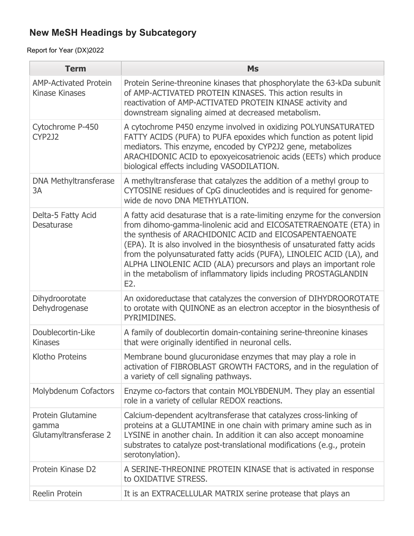| <b>Term</b>                                           | <b>Ms</b>                                                                                                                                                                                                                                                                                                                                                                                                                                                                                                    |
|-------------------------------------------------------|--------------------------------------------------------------------------------------------------------------------------------------------------------------------------------------------------------------------------------------------------------------------------------------------------------------------------------------------------------------------------------------------------------------------------------------------------------------------------------------------------------------|
| <b>AMP-Activated Protein</b><br><b>Kinase Kinases</b> | Protein Serine-threonine kinases that phosphorylate the 63-kDa subunit<br>of AMP-ACTIVATED PROTEIN KINASES. This action results in<br>reactivation of AMP-ACTIVATED PROTEIN KINASE activity and<br>downstream signaling aimed at decreased metabolism.                                                                                                                                                                                                                                                       |
| Cytochrome P-450<br><b>CYP2J2</b>                     | A cytochrome P450 enzyme involved in oxidizing POLYUNSATURATED<br>FATTY ACIDS (PUFA) to PUFA epoxides which function as potent lipid<br>mediators. This enzyme, encoded by CYP2J2 gene, metabolizes<br>ARACHIDONIC ACID to epoxyeicosatrienoic acids (EETs) which produce<br>biological effects including VASODILATION.                                                                                                                                                                                      |
| <b>DNA Methyltransferase</b><br>3A                    | A methyltransferase that catalyzes the addition of a methyl group to<br>CYTOSINE residues of CpG dinucleotides and is required for genome-<br>wide de novo DNA METHYLATION.                                                                                                                                                                                                                                                                                                                                  |
| Delta-5 Fatty Acid<br><b>Desaturase</b>               | A fatty acid desaturase that is a rate-limiting enzyme for the conversion<br>from dihomo-gamma-linolenic acid and EICOSATETRAENOATE (ETA) in<br>the synthesis of ARACHIDONIC ACID and EICOSAPENTAENOATE<br>(EPA). It is also involved in the biosynthesis of unsaturated fatty acids<br>from the polyunsaturated fatty acids (PUFA), LINOLEIC ACID (LA), and<br>ALPHA LINOLENIC ACID (ALA) precursors and plays an important role<br>in the metabolism of inflammatory lipids including PROSTAGLANDIN<br>E2. |
| Dihydroorotate<br>Dehydrogenase                       | An oxidoreductase that catalyzes the conversion of DIHYDROOROTATE<br>to orotate with QUINONE as an electron acceptor in the biosynthesis of<br>PYRIMIDINES.                                                                                                                                                                                                                                                                                                                                                  |
| Doublecortin-Like<br><b>Kinases</b>                   | A family of doublecortin domain-containing serine-threonine kinases<br>that were originally identified in neuronal cells.                                                                                                                                                                                                                                                                                                                                                                                    |
| <b>Klotho Proteins</b>                                | Membrane bound glucuronidase enzymes that may play a role in<br>activation of FIBROBLAST GROWTH FACTORS, and in the regulation of<br>a variety of cell signaling pathways.                                                                                                                                                                                                                                                                                                                                   |
| Molybdenum Cofactors                                  | Enzyme co-factors that contain MOLYBDENUM. They play an essential<br>role in a variety of cellular REDOX reactions.                                                                                                                                                                                                                                                                                                                                                                                          |
| Protein Glutamine<br>gamma<br>Glutamyltransferase 2   | Calcium-dependent acyltransferase that catalyzes cross-linking of<br>proteins at a GLUTAMINE in one chain with primary amine such as in<br>LYSINE in another chain. In addition it can also accept monoamine<br>substrates to catalyze post-translational modifications (e.g., protein<br>serotonylation).                                                                                                                                                                                                   |
| Protein Kinase D2                                     | A SERINE-THREONINE PROTEIN KINASE that is activated in response<br>to OXIDATIVE STRESS.                                                                                                                                                                                                                                                                                                                                                                                                                      |
| Reelin Protein                                        | It is an EXTRACELLULAR MATRIX serine protease that plays an                                                                                                                                                                                                                                                                                                                                                                                                                                                  |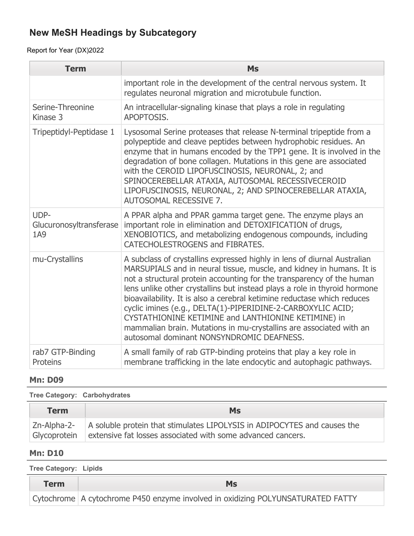Report for Year (DX)2022

| <b>Term</b>                            | <b>Ms</b>                                                                                                                                                                                                                                                                                                                                                                                                                                                                                                                                                                                                                   |
|----------------------------------------|-----------------------------------------------------------------------------------------------------------------------------------------------------------------------------------------------------------------------------------------------------------------------------------------------------------------------------------------------------------------------------------------------------------------------------------------------------------------------------------------------------------------------------------------------------------------------------------------------------------------------------|
|                                        | important role in the development of the central nervous system. It<br>regulates neuronal migration and microtubule function.                                                                                                                                                                                                                                                                                                                                                                                                                                                                                               |
| Serine-Threonine<br>Kinase 3           | An intracellular-signaling kinase that plays a role in regulating<br>APOPTOSIS.                                                                                                                                                                                                                                                                                                                                                                                                                                                                                                                                             |
| Tripeptidyl-Peptidase 1                | Lysosomal Serine proteases that release N-terminal tripeptide from a<br>polypeptide and cleave peptides between hydrophobic residues. An<br>enzyme that in humans encoded by the TPP1 gene. It is involved in the<br>degradation of bone collagen. Mutations in this gene are associated<br>with the CEROID LIPOFUSCINOSIS, NEURONAL, 2; and<br>SPINOCEREBELLAR ATAXIA, AUTOSOMAL RECESSIVECEROID<br>LIPOFUSCINOSIS, NEURONAL, 2; AND SPINOCEREBELLAR ATAXIA,<br>AUTOSOMAL RECESSIVE 7.                                                                                                                                     |
| UDP-<br>Glucuronosyltransferase<br>1A9 | A PPAR alpha and PPAR gamma target gene. The enzyme plays an<br>important role in elimination and DETOXIFICATION of drugs,<br>XENOBIOTICS, and metabolizing endogenous compounds, including<br>CATECHOLESTROGENS and FIBRATES.                                                                                                                                                                                                                                                                                                                                                                                              |
| mu-Crystallins                         | A subclass of crystallins expressed highly in lens of diurnal Australian<br>MARSUPIALS and in neural tissue, muscle, and kidney in humans. It is<br>not a structural protein accounting for the transparency of the human<br>lens unlike other crystallins but instead plays a role in thyroid hormone<br>bioavailability. It is also a cerebral ketimine reductase which reduces<br>cyclic imines (e.g., DELTA(1)-PIPERIDINE-2-CARBOXYLIC ACID;<br>CYSTATHIONINE KETIMINE and LANTHIONINE KETIMINE) in<br>mammalian brain. Mutations in mu-crystallins are associated with an<br>autosomal dominant NONSYNDROMIC DEAFNESS. |
| rab7 GTP-Binding<br>Proteins           | A small family of rab GTP-binding proteins that play a key role in<br>membrane trafficking in the late endocytic and autophagic pathways.                                                                                                                                                                                                                                                                                                                                                                                                                                                                                   |

### **Mn: D09**

| Tree Category: Carbohydrates |                                                                                                                                                       |
|------------------------------|-------------------------------------------------------------------------------------------------------------------------------------------------------|
| <b>Term</b>                  | <b>Ms</b>                                                                                                                                             |
| Glycoprotein                 | Zn-Alpha-2-   A soluble protein that stimulates LIPOLYSIS in ADIPOCYTES and causes the<br>extensive fat losses associated with some advanced cancers. |

### **Mn: D10**

**Tree Category: Lipids**

| <b>Term</b> | Ms                                                                                |
|-------------|-----------------------------------------------------------------------------------|
|             | Cytochrome   A cytochrome P450 enzyme involved in oxidizing POLYUNSATURATED FATTY |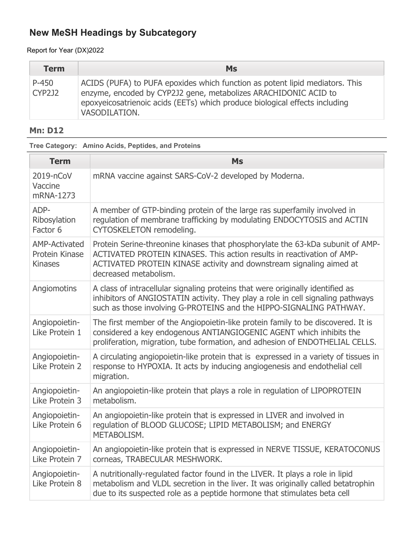Report for Year (DX)2022

| <b>Term</b>            | <b>Ms</b>                                                                                                                                                                                                                                       |
|------------------------|-------------------------------------------------------------------------------------------------------------------------------------------------------------------------------------------------------------------------------------------------|
| P-450<br><b>CYP2J2</b> | ACIDS (PUFA) to PUFA epoxides which function as potent lipid mediators. This<br>enzyme, encoded by CYP2J2 gene, metabolizes ARACHIDONIC ACID to<br>epoxyeicosatrienoic acids (EETs) which produce biological effects including<br>VASODILATION. |

## **Mn: D12**

**Tree Category: Amino Acids, Peptides, and Proteins**

| <b>Term</b>                                              | <b>Ms</b>                                                                                                                                                                                                                                                |
|----------------------------------------------------------|----------------------------------------------------------------------------------------------------------------------------------------------------------------------------------------------------------------------------------------------------------|
| 2019-nCoV<br>Vaccine<br>mRNA-1273                        | mRNA vaccine against SARS-CoV-2 developed by Moderna.                                                                                                                                                                                                    |
| ADP-<br>Ribosylation<br>Factor 6                         | A member of GTP-binding protein of the large ras superfamily involved in<br>regulation of membrane trafficking by modulating ENDOCYTOSIS and ACTIN<br>CYTOSKELETON remodeling.                                                                           |
| <b>AMP-Activated</b><br>Protein Kinase<br><b>Kinases</b> | Protein Serine-threonine kinases that phosphorylate the 63-kDa subunit of AMP-<br>ACTIVATED PROTEIN KINASES. This action results in reactivation of AMP-<br>ACTIVATED PROTEIN KINASE activity and downstream signaling aimed at<br>decreased metabolism. |
| Angiomotins                                              | A class of intracellular signaling proteins that were originally identified as<br>inhibitors of ANGIOSTATIN activity. They play a role in cell signaling pathways<br>such as those involving G-PROTEINS and the HIPPO-SIGNALING PATHWAY.                 |
| Angiopoietin-<br>Like Protein 1                          | The first member of the Angiopoietin-like protein family to be discovered. It is<br>considered a key endogenous ANTIANGIOGENIC AGENT which inhibits the<br>proliferation, migration, tube formation, and adhesion of ENDOTHELIAL CELLS.                  |
| Angiopoietin-<br>Like Protein 2                          | A circulating angiopoietin-like protein that is expressed in a variety of tissues in<br>response to HYPOXIA. It acts by inducing angiogenesis and endothelial cell<br>migration.                                                                         |
| Angiopoietin-<br>Like Protein 3                          | An angiopoietin-like protein that plays a role in regulation of LIPOPROTEIN<br>metabolism.                                                                                                                                                               |
| Angiopoietin-<br>Like Protein 6                          | An angiopoietin-like protein that is expressed in LIVER and involved in<br>regulation of BLOOD GLUCOSE; LIPID METABOLISM; and ENERGY<br>METABOLISM.                                                                                                      |
| Angiopoietin-<br>Like Protein 7                          | An angiopoietin-like protein that is expressed in NERVE TISSUE, KERATOCONUS<br>corneas, TRABECULAR MESHWORK.                                                                                                                                             |
| Angiopoietin-<br>Like Protein 8                          | A nutritionally-regulated factor found in the LIVER. It plays a role in lipid<br>metabolism and VLDL secretion in the liver. It was originally called betatrophin<br>due to its suspected role as a peptide hormone that stimulates beta cell            |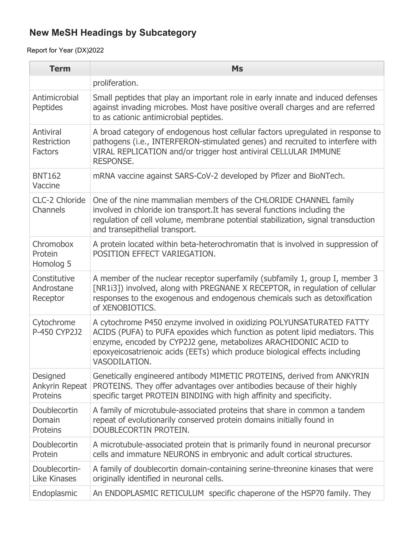| <b>Term</b>                                       | <b>Ms</b>                                                                                                                                                                                                                                                                                                               |
|---------------------------------------------------|-------------------------------------------------------------------------------------------------------------------------------------------------------------------------------------------------------------------------------------------------------------------------------------------------------------------------|
|                                                   | proliferation.                                                                                                                                                                                                                                                                                                          |
| Antimicrobial<br>Peptides                         | Small peptides that play an important role in early innate and induced defenses<br>against invading microbes. Most have positive overall charges and are referred<br>to as cationic antimicrobial peptides.                                                                                                             |
| Antiviral<br><b>Restriction</b><br><b>Factors</b> | A broad category of endogenous host cellular factors upregulated in response to<br>pathogens (i.e., INTERFERON-stimulated genes) and recruited to interfere with<br>VIRAL REPLICATION and/or trigger host antiviral CELLULAR IMMUNE<br><b>RESPONSE.</b>                                                                 |
| <b>BNT162</b><br>Vaccine                          | mRNA vaccine against SARS-CoV-2 developed by Pfizer and BioNTech.                                                                                                                                                                                                                                                       |
| CLC-2 Chloride<br>Channels                        | One of the nine mammalian members of the CHLORIDE CHANNEL family<br>involved in chloride ion transport. It has several functions including the<br>regulation of cell volume, membrane potential stabilization, signal transduction<br>and transepithelial transport.                                                    |
| Chromobox<br>Protein<br>Homolog 5                 | A protein located within beta-heterochromatin that is involved in suppression of<br>POSITION EFFECT VARIEGATION.                                                                                                                                                                                                        |
| Constitutive<br>Androstane<br>Receptor            | A member of the nuclear receptor superfamily (subfamily 1, group I, member 3<br>[NR1i3]) involved, along with PREGNANE X RECEPTOR, in regulation of cellular<br>responses to the exogenous and endogenous chemicals such as detoxification<br>of XENOBIOTICS.                                                           |
| Cytochrome<br>P-450 CYP2J2                        | A cytochrome P450 enzyme involved in oxidizing POLYUNSATURATED FATTY<br>ACIDS (PUFA) to PUFA epoxides which function as potent lipid mediators. This<br>enzyme, encoded by CYP2J2 gene, metabolizes ARACHIDONIC ACID to<br>epoxyeicosatrienoic acids (EETs) which produce biological effects including<br>VASODILATION. |
| Designed<br>Ankyrin Repeat<br>Proteins            | Genetically engineered antibody MIMETIC PROTEINS, derived from ANKYRIN<br>PROTEINS. They offer advantages over antibodies because of their highly<br>specific target PROTEIN BINDING with high affinity and specificity.                                                                                                |
| Doublecortin<br>Domain<br><b>Proteins</b>         | A family of microtubule-associated proteins that share in common a tandem<br>repeat of evolutionarily conserved protein domains initially found in<br>DOUBLECORTIN PROTEIN.                                                                                                                                             |
| Doublecortin<br>Protein                           | A microtubule-associated protein that is primarily found in neuronal precursor<br>cells and immature NEURONS in embryonic and adult cortical structures.                                                                                                                                                                |
| Doublecortin-<br><b>Like Kinases</b>              | A family of doublecortin domain-containing serine-threonine kinases that were<br>originally identified in neuronal cells.                                                                                                                                                                                               |
| Endoplasmic                                       | An ENDOPLASMIC RETICULUM specific chaperone of the HSP70 family. They                                                                                                                                                                                                                                                   |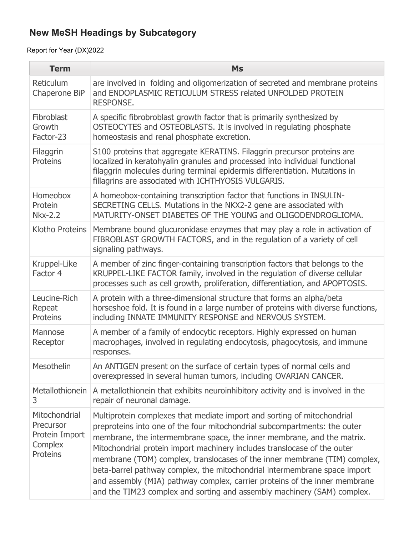| <b>Term</b>                                                                | <b>Ms</b>                                                                                                                                                                                                                                                                                                                                                                                                                                                                                                                                                                                                                     |
|----------------------------------------------------------------------------|-------------------------------------------------------------------------------------------------------------------------------------------------------------------------------------------------------------------------------------------------------------------------------------------------------------------------------------------------------------------------------------------------------------------------------------------------------------------------------------------------------------------------------------------------------------------------------------------------------------------------------|
| <b>Reticulum</b><br>Chaperone BiP                                          | are involved in folding and oligomerization of secreted and membrane proteins<br>and ENDOPLASMIC RETICULUM STRESS related UNFOLDED PROTEIN<br><b>RESPONSE.</b>                                                                                                                                                                                                                                                                                                                                                                                                                                                                |
| Fibroblast<br>Growth<br>Factor-23                                          | A specific fibrobroblast growth factor that is primarily synthesized by<br>OSTEOCYTES and OSTEOBLASTS. It is involved in regulating phosphate<br>homeostasis and renal phosphate excretion.                                                                                                                                                                                                                                                                                                                                                                                                                                   |
| Filaggrin<br><b>Proteins</b>                                               | S100 proteins that aggregate KERATINS. Filaggrin precursor proteins are<br>localized in keratohyalin granules and processed into individual functional<br>filaggrin molecules during terminal epidermis differentiation. Mutations in<br>fillagrins are associated with ICHTHYOSIS VULGARIS.                                                                                                                                                                                                                                                                                                                                  |
| Homeobox<br>Protein<br><b>Nkx-2.2</b>                                      | A homeobox-containing transcription factor that functions in INSULIN-<br>SECRETING CELLS. Mutations in the NKX2-2 gene are associated with<br>MATURITY-ONSET DIABETES OF THE YOUNG and OLIGODENDROGLIOMA.                                                                                                                                                                                                                                                                                                                                                                                                                     |
| Klotho Proteins                                                            | Membrane bound glucuronidase enzymes that may play a role in activation of<br>FIBROBLAST GROWTH FACTORS, and in the regulation of a variety of cell<br>signaling pathways.                                                                                                                                                                                                                                                                                                                                                                                                                                                    |
| Kruppel-Like<br>Factor 4                                                   | A member of zinc finger-containing transcription factors that belongs to the<br>KRUPPEL-LIKE FACTOR family, involved in the regulation of diverse cellular<br>processes such as cell growth, proliferation, differentiation, and APOPTOSIS.                                                                                                                                                                                                                                                                                                                                                                                   |
| Leucine-Rich<br>Repeat<br><b>Proteins</b>                                  | A protein with a three-dimensional structure that forms an alpha/beta<br>horseshoe fold. It is found in a large number of proteins with diverse functions,<br>including INNATE IMMUNITY RESPONSE and NERVOUS SYSTEM.                                                                                                                                                                                                                                                                                                                                                                                                          |
| Mannose<br>Receptor                                                        | A member of a family of endocytic receptors. Highly expressed on human<br>macrophages, involved in regulating endocytosis, phagocytosis, and immune<br>responses.                                                                                                                                                                                                                                                                                                                                                                                                                                                             |
| Mesothelin                                                                 | An ANTIGEN present on the surface of certain types of normal cells and<br>overexpressed in several human tumors, including OVARIAN CANCER.                                                                                                                                                                                                                                                                                                                                                                                                                                                                                    |
| Metallothionein<br>3                                                       | A metallothionein that exhibits neuroinhibitory activity and is involved in the<br>repair of neuronal damage.                                                                                                                                                                                                                                                                                                                                                                                                                                                                                                                 |
| Mitochondrial<br>Precursor<br>Protein Import<br>Complex<br><b>Proteins</b> | Multiprotein complexes that mediate import and sorting of mitochondrial<br>preproteins into one of the four mitochondrial subcompartments: the outer<br>membrane, the intermembrane space, the inner membrane, and the matrix.<br>Mitochondrial protein import machinery includes translocase of the outer<br>membrane (TOM) complex, translocases of the inner membrane (TIM) complex,<br>beta-barrel pathway complex, the mitochondrial intermembrane space import<br>and assembly (MIA) pathway complex, carrier proteins of the inner membrane<br>and the TIM23 complex and sorting and assembly machinery (SAM) complex. |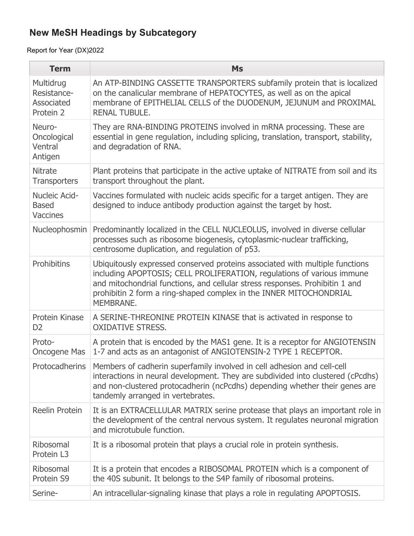| <b>Term</b>                                                | <b>Ms</b>                                                                                                                                                                                                                                                                                                                 |
|------------------------------------------------------------|---------------------------------------------------------------------------------------------------------------------------------------------------------------------------------------------------------------------------------------------------------------------------------------------------------------------------|
| Multidrug<br>Resistance-<br><b>Associated</b><br>Protein 2 | An ATP-BINDING CASSETTE TRANSPORTERS subfamily protein that is localized<br>on the canalicular membrane of HEPATOCYTES, as well as on the apical<br>membrane of EPITHELIAL CELLS of the DUODENUM, JEJUNUM and PROXIMAL<br><b>RENAL TUBULE.</b>                                                                            |
| Neuro-<br>Oncological<br>Ventral<br>Antigen                | They are RNA-BINDING PROTEINS involved in mRNA processing. These are<br>essential in gene regulation, including splicing, translation, transport, stability,<br>and degradation of RNA.                                                                                                                                   |
| <b>Nitrate</b><br><b>Transporters</b>                      | Plant proteins that participate in the active uptake of NITRATE from soil and its<br>transport throughout the plant.                                                                                                                                                                                                      |
| Nucleic Acid-<br><b>Based</b><br><b>Vaccines</b>           | Vaccines formulated with nucleic acids specific for a target antigen. They are<br>designed to induce antibody production against the target by host.                                                                                                                                                                      |
| Nucleophosmin                                              | Predominantly localized in the CELL NUCLEOLUS, involved in diverse cellular<br>processes such as ribosome biogenesis, cytoplasmic-nuclear trafficking,<br>centrosome duplication, and regulation of p53.                                                                                                                  |
| <b>Prohibitins</b>                                         | Ubiquitously expressed conserved proteins associated with multiple functions<br>including APOPTOSIS; CELL PROLIFERATION, regulations of various immune<br>and mitochondrial functions, and cellular stress responses. Prohibitin 1 and<br>prohibitin 2 form a ring-shaped complex in the INNER MITOCHONDRIAL<br>MEMBRANE. |
| Protein Kinase<br>D <sub>2</sub>                           | A SERINE-THREONINE PROTEIN KINASE that is activated in response to<br><b>OXIDATIVE STRESS.</b>                                                                                                                                                                                                                            |
| Proto-<br><b>Oncogene Mas</b>                              | A protein that is encoded by the MAS1 gene. It is a receptor for ANGIOTENSIN<br>1-7 and acts as an antagonist of ANGIOTENSIN-2 TYPE 1 RECEPTOR.                                                                                                                                                                           |
| Protocadherins                                             | Members of cadherin superfamily involved in cell adhesion and cell-cell<br>interactions in neural development. They are subdivided into clustered (cPcdhs)<br>and non-clustered protocadherin (ncPcdhs) depending whether their genes are<br>tandemly arranged in vertebrates.                                            |
| Reelin Protein                                             | It is an EXTRACELLULAR MATRIX serine protease that plays an important role in<br>the development of the central nervous system. It regulates neuronal migration<br>and microtubule function.                                                                                                                              |
| <b>Ribosomal</b><br>Protein L3                             | It is a ribosomal protein that plays a crucial role in protein synthesis.                                                                                                                                                                                                                                                 |
| Ribosomal<br>Protein S9                                    | It is a protein that encodes a RIBOSOMAL PROTEIN which is a component of<br>the 40S subunit. It belongs to the S4P family of ribosomal proteins.                                                                                                                                                                          |
| Serine-                                                    | An intracellular-signaling kinase that plays a role in regulating APOPTOSIS.                                                                                                                                                                                                                                              |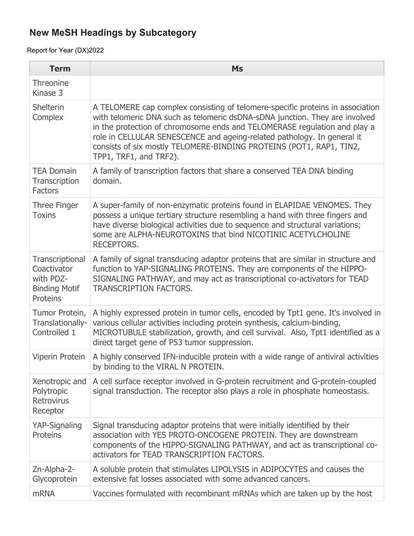| <b>Term</b>                                                                            | <b>Ms</b>                                                                                                                                                                                                                                                                                                                                                                                                              |
|----------------------------------------------------------------------------------------|------------------------------------------------------------------------------------------------------------------------------------------------------------------------------------------------------------------------------------------------------------------------------------------------------------------------------------------------------------------------------------------------------------------------|
| Threonine<br>Kinase 3                                                                  |                                                                                                                                                                                                                                                                                                                                                                                                                        |
| <b>Shelterin</b><br>Complex                                                            | A TELOMERE cap complex consisting of telomere-specific proteins in association<br>with telomeric DNA such as telomeric dsDNA-sDNA junction. They are involved<br>in the protection of chromosome ends and TELOMERASE regulation and play a<br>role in CELLULAR SENESCENCE and ageing-related pathology. In general it<br>consists of six mostly TELOMERE-BINDING PROTEINS (POT1, RAP1, TIN2,<br>TPP1, TRF1, and TRF2). |
| <b>TEA Domain</b><br>Transcription<br><b>Factors</b>                                   | A family of transcription factors that share a conserved TEA DNA binding<br>domain.                                                                                                                                                                                                                                                                                                                                    |
| <b>Three Finger</b><br><b>Toxins</b>                                                   | A super-family of non-enzymatic proteins found in ELAPIDAE VENOMES. They<br>possess a unique tertiary structure resembling a hand with three fingers and<br>have diverse biological activities due to sequence and structural variations;<br>some are ALPHA-NEUROTOXINS that bind NICOTINIC ACETYLCHOLINE<br><b>RECEPTORS.</b>                                                                                         |
| Transcriptional<br>Coactivator<br>with PDZ-<br><b>Binding Motif</b><br><b>Proteins</b> | A family of signal transducing adaptor proteins that are similar in structure and<br>function to YAP-SIGNALING PROTEINS. They are components of the HIPPO-<br>SIGNALING PATHWAY, and may act as transcriptional co-activators for TEAD<br><b>TRANSCRIPTION FACTORS.</b>                                                                                                                                                |
| Tumor Protein,<br>Translationally-<br>Controlled 1                                     | A highly expressed protein in tumor cells, encoded by Tpt1 gene. It's involved in<br>various cellular activities including protein synthesis, calcium-binding,<br>MICROTUBULE stabilization, growth, and cell survival. Also, Tpt1 identified as a<br>direct target gene of P53 tumor suppression.                                                                                                                     |
| Viperin Protein                                                                        | A highly conserved IFN-inducible protein with a wide range of antiviral activities<br>by binding to the VIRAL N PROTEIN.                                                                                                                                                                                                                                                                                               |
| Xenotropic and<br>Polytropic<br><b>Retrovirus</b><br>Receptor                          | A cell surface receptor involved in G-protein recruitment and G-protein-coupled<br>signal transduction. The receptor also plays a role in phosphate homeostasis.                                                                                                                                                                                                                                                       |
| YAP-Signaling<br>Proteins                                                              | Signal transducing adaptor proteins that were initially identified by their<br>association with YES PROTO-ONCOGENE PROTEIN. They are downstream<br>components of the HIPPO-SIGNALING PATHWAY, and act as transcriptional co-<br>activators for TEAD TRANSCRIPTION FACTORS.                                                                                                                                             |
| Zn-Alpha-2-<br>Glycoprotein                                                            | A soluble protein that stimulates LIPOLYSIS in ADIPOCYTES and causes the<br>extensive fat losses associated with some advanced cancers.                                                                                                                                                                                                                                                                                |
| <b>mRNA</b>                                                                            | Vaccines formulated with recombinant mRNAs which are taken up by the host                                                                                                                                                                                                                                                                                                                                              |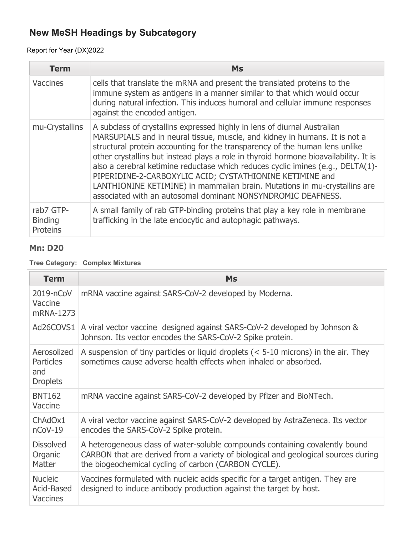## Report for Year (DX)2022

| <b>Term</b>                                    | Ms                                                                                                                                                                                                                                                                                                                                                                                                                                                                                                                                                                                                                        |
|------------------------------------------------|---------------------------------------------------------------------------------------------------------------------------------------------------------------------------------------------------------------------------------------------------------------------------------------------------------------------------------------------------------------------------------------------------------------------------------------------------------------------------------------------------------------------------------------------------------------------------------------------------------------------------|
| <b>Vaccines</b>                                | cells that translate the mRNA and present the translated proteins to the<br>immune system as antigens in a manner similar to that which would occur<br>during natural infection. This induces humoral and cellular immune responses<br>against the encoded antigen.                                                                                                                                                                                                                                                                                                                                                       |
| mu-Crystallins                                 | A subclass of crystallins expressed highly in lens of diurnal Australian<br>MARSUPIALS and in neural tissue, muscle, and kidney in humans. It is not a<br>structural protein accounting for the transparency of the human lens unlike<br>other crystallins but instead plays a role in thyroid hormone bioavailability. It is<br>also a cerebral ketimine reductase which reduces cyclic imines (e.g., DELTA(1)-<br>PIPERIDINE-2-CARBOXYLIC ACID; CYSTATHIONINE KETIMINE and<br>LANTHIONINE KETIMINE) in mammalian brain. Mutations in mu-crystallins are<br>associated with an autosomal dominant NONSYNDROMIC DEAFNESS. |
| rab7 GTP-<br><b>Binding</b><br><b>Proteins</b> | A small family of rab GTP-binding proteins that play a key role in membrane<br>trafficking in the late endocytic and autophagic pathways.                                                                                                                                                                                                                                                                                                                                                                                                                                                                                 |

### **Mn: D20**

# **Tree Category: Complex Mixtures**

| <b>Term</b>                                               | <b>Ms</b>                                                                                                                                                                                                                  |
|-----------------------------------------------------------|----------------------------------------------------------------------------------------------------------------------------------------------------------------------------------------------------------------------------|
| 2019-nCoV<br>Vaccine<br>mRNA-1273                         | mRNA vaccine against SARS-CoV-2 developed by Moderna.                                                                                                                                                                      |
| Ad26COVS1                                                 | A viral vector vaccine designed against SARS-CoV-2 developed by Johnson &<br>Johnson. Its vector encodes the SARS-CoV-2 Spike protein.                                                                                     |
| Aerosolized<br><b>Particles</b><br>and<br><b>Droplets</b> | A suspension of tiny particles or liquid droplets $(5-10 microns) in the air. Theysometimes cause adverse health effects when inhaled or absorbed.$                                                                        |
| <b>BNT162</b><br>Vaccine                                  | mRNA vaccine against SARS-CoV-2 developed by Pfizer and BioNTech.                                                                                                                                                          |
| ChAdOx1<br>$n$ CoV-19                                     | A viral vector vaccine against SARS-CoV-2 developed by AstraZeneca. Its vector<br>encodes the SARS-CoV-2 Spike protein.                                                                                                    |
| <b>Dissolved</b><br>Organic<br>Matter                     | A heterogeneous class of water-soluble compounds containing covalently bound<br>CARBON that are derived from a variety of biological and geological sources during<br>the biogeochemical cycling of carbon (CARBON CYCLE). |
| <b>Nucleic</b><br>Acid-Based<br><b>Vaccines</b>           | Vaccines formulated with nucleic acids specific for a target antigen. They are<br>designed to induce antibody production against the target by host.                                                                       |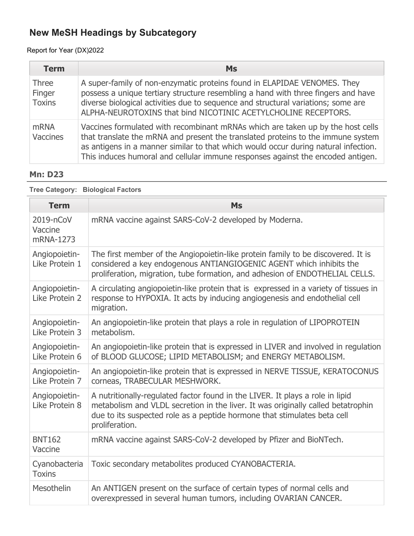## Report for Year (DX)2022

| <b>Term</b>                             | <b>Ms</b>                                                                                                                                                                                                                                                                                                                                     |
|-----------------------------------------|-----------------------------------------------------------------------------------------------------------------------------------------------------------------------------------------------------------------------------------------------------------------------------------------------------------------------------------------------|
| <b>Three</b><br>Finger<br><b>Toxins</b> | A super-family of non-enzymatic proteins found in ELAPIDAE VENOMES. They<br>possess a unique tertiary structure resembling a hand with three fingers and have<br>diverse biological activities due to sequence and structural variations; some are<br>ALPHA-NEUROTOXINS that bind NICOTINIC ACETYLCHOLINE RECEPTORS.                          |
| <b>mRNA</b><br>Vaccines                 | Vaccines formulated with recombinant mRNAs which are taken up by the host cells<br>that translate the mRNA and present the translated proteins to the immune system<br>as antigens in a manner similar to that which would occur during natural infection.<br>This induces humoral and cellular immune responses against the encoded antigen. |

### **Mn: D23**

| <b>Tree Category: Biological Factors</b> |                                                                                                                                                                                                                                                                 |  |
|------------------------------------------|-----------------------------------------------------------------------------------------------------------------------------------------------------------------------------------------------------------------------------------------------------------------|--|
| <b>Term</b>                              | <b>Ms</b>                                                                                                                                                                                                                                                       |  |
| 2019-nCoV<br>Vaccine<br>mRNA-1273        | mRNA vaccine against SARS-CoV-2 developed by Moderna.                                                                                                                                                                                                           |  |
| Angiopoietin-<br>Like Protein 1          | The first member of the Angiopoietin-like protein family to be discovered. It is<br>considered a key endogenous ANTIANGIOGENIC AGENT which inhibits the<br>proliferation, migration, tube formation, and adhesion of ENDOTHELIAL CELLS.                         |  |
| Angiopoietin-<br>Like Protein 2          | A circulating angiopoietin-like protein that is expressed in a variety of tissues in<br>response to HYPOXIA. It acts by inducing angiogenesis and endothelial cell<br>migration.                                                                                |  |
| Angiopoietin-<br>Like Protein 3          | An angiopoietin-like protein that plays a role in regulation of LIPOPROTEIN<br>metabolism.                                                                                                                                                                      |  |
| Angiopoietin-<br>Like Protein 6          | An angiopoietin-like protein that is expressed in LIVER and involved in regulation<br>of BLOOD GLUCOSE; LIPID METABOLISM; and ENERGY METABOLISM.                                                                                                                |  |
| Angiopoietin-<br>Like Protein 7          | An angiopoietin-like protein that is expressed in NERVE TISSUE, KERATOCONUS<br>corneas, TRABECULAR MESHWORK.                                                                                                                                                    |  |
| Angiopoietin-<br>Like Protein 8          | A nutritionally-regulated factor found in the LIVER. It plays a role in lipid<br>metabolism and VLDL secretion in the liver. It was originally called betatrophin<br>due to its suspected role as a peptide hormone that stimulates beta cell<br>proliferation. |  |
| <b>BNT162</b><br>Vaccine                 | mRNA vaccine against SARS-CoV-2 developed by Pfizer and BioNTech.                                                                                                                                                                                               |  |
| Cyanobacteria<br><b>Toxins</b>           | Toxic secondary metabolites produced CYANOBACTERIA.                                                                                                                                                                                                             |  |
| Mesothelin                               | An ANTIGEN present on the surface of certain types of normal cells and<br>overexpressed in several human tumors, including OVARIAN CANCER.                                                                                                                      |  |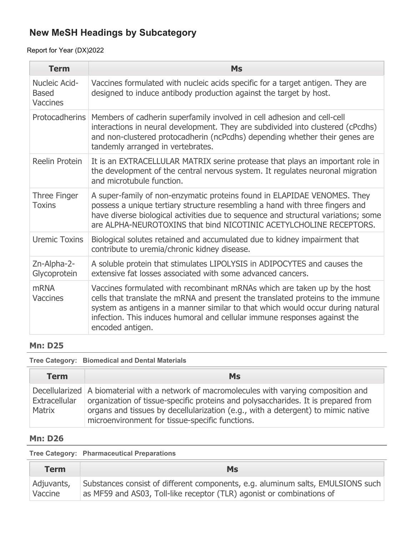Report for Year (DX)2022

| <b>Term</b>                               | <b>Ms</b>                                                                                                                                                                                                                                                                                                                                        |
|-------------------------------------------|--------------------------------------------------------------------------------------------------------------------------------------------------------------------------------------------------------------------------------------------------------------------------------------------------------------------------------------------------|
| Nucleic Acid-<br><b>Based</b><br>Vaccines | Vaccines formulated with nucleic acids specific for a target antigen. They are<br>designed to induce antibody production against the target by host.                                                                                                                                                                                             |
|                                           | Protocadherins   Members of cadherin superfamily involved in cell adhesion and cell-cell<br>interactions in neural development. They are subdivided into clustered (cPcdhs)<br>and non-clustered protocadherin (ncPcdhs) depending whether their genes are<br>tandemly arranged in vertebrates.                                                  |
| Reelin Protein                            | It is an EXTRACELLULAR MATRIX serine protease that plays an important role in<br>the development of the central nervous system. It regulates neuronal migration<br>and microtubule function.                                                                                                                                                     |
| Three Finger<br><b>Toxins</b>             | A super-family of non-enzymatic proteins found in ELAPIDAE VENOMES. They<br>possess a unique tertiary structure resembling a hand with three fingers and<br>have diverse biological activities due to sequence and structural variations; some<br>are ALPHA-NEUROTOXINS that bind NICOTINIC ACETYLCHOLINE RECEPTORS.                             |
| <b>Uremic Toxins</b>                      | Biological solutes retained and accumulated due to kidney impairment that<br>contribute to uremia/chronic kidney disease.                                                                                                                                                                                                                        |
| Zn-Alpha-2-<br>Glycoprotein               | A soluble protein that stimulates LIPOLYSIS in ADIPOCYTES and causes the<br>extensive fat losses associated with some advanced cancers.                                                                                                                                                                                                          |
| <b>mRNA</b><br>Vaccines                   | Vaccines formulated with recombinant mRNAs which are taken up by the host<br>cells that translate the mRNA and present the translated proteins to the immune<br>system as antigens in a manner similar to that which would occur during natural<br>infection. This induces humoral and cellular immune responses against the<br>encoded antigen. |

### **Mn: D25**

**Tree Category: Biomedical and Dental Materials**

| <b>Term</b>                    | <b>Ms</b>                                                                                                                                                                                                                                                                                                                |
|--------------------------------|--------------------------------------------------------------------------------------------------------------------------------------------------------------------------------------------------------------------------------------------------------------------------------------------------------------------------|
| Extracellular<br><b>Matrix</b> | Decellularized   A biomaterial with a network of macromolecules with varying composition and<br>organization of tissue-specific proteins and polysaccharides. It is prepared from<br>organs and tissues by decellularization (e.g., with a detergent) to mimic native<br>microenvironment for tissue-specific functions. |

### **Mn: D26**

**Tree Category: Pharmaceutical Preparations**

| <b>Term</b> | <b>Ms</b>                                                                       |
|-------------|---------------------------------------------------------------------------------|
| Adjuvants,  | Substances consist of different components, e.g. aluminum salts, EMULSIONS such |
| Vaccine     | as MF59 and AS03, Toll-like receptor (TLR) agonist or combinations of           |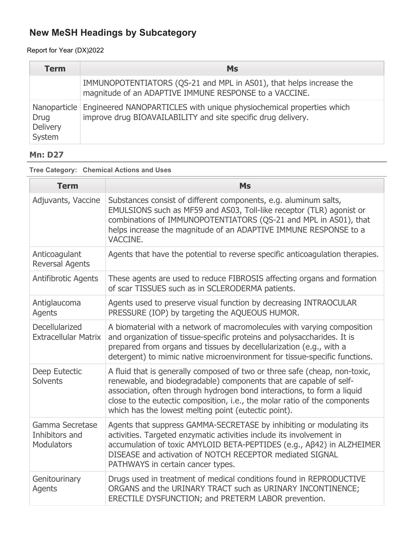### Report for Year (DX)2022

| <b>Term</b>                       | <b>Ms</b>                                                                                                                                            |
|-----------------------------------|------------------------------------------------------------------------------------------------------------------------------------------------------|
|                                   | IMMUNOPOTENTIATORS (QS-21 and MPL in AS01), that helps increase the<br>magnitude of an ADAPTIVE IMMUNE RESPONSE to a VACCINE.                        |
| <b>Drug</b><br>Delivery<br>System | Nanoparticle   Engineered NANOPARTICLES with unique physiochemical properties which<br>improve drug BIOAVAILABILITY and site specific drug delivery. |

## **Mn: D27**

### **Tree Category: Chemical Actions and Uses**

| <b>Term</b>                                            | <b>Ms</b>                                                                                                                                                                                                                                                                                                                                                         |
|--------------------------------------------------------|-------------------------------------------------------------------------------------------------------------------------------------------------------------------------------------------------------------------------------------------------------------------------------------------------------------------------------------------------------------------|
| Adjuvants, Vaccine                                     | Substances consist of different components, e.g. aluminum salts,<br>EMULSIONS such as MF59 and AS03, Toll-like receptor (TLR) agonist or<br>combinations of IMMUNOPOTENTIATORS (QS-21 and MPL in AS01), that<br>helps increase the magnitude of an ADAPTIVE IMMUNE RESPONSE to a<br>VACCINE.                                                                      |
| Anticoagulant<br><b>Reversal Agents</b>                | Agents that have the potential to reverse specific anticoagulation therapies.                                                                                                                                                                                                                                                                                     |
| <b>Antifibrotic Agents</b>                             | These agents are used to reduce FIBROSIS affecting organs and formation<br>of scar TISSUES such as in SCLERODERMA patients.                                                                                                                                                                                                                                       |
| Antiglaucoma<br><b>Agents</b>                          | Agents used to preserve visual function by decreasing INTRAOCULAR<br>PRESSURE (IOP) by targeting the AQUEOUS HUMOR.                                                                                                                                                                                                                                               |
| Decellularized<br><b>Extracellular Matrix</b>          | A biomaterial with a network of macromolecules with varying composition<br>and organization of tissue-specific proteins and polysaccharides. It is<br>prepared from organs and tissues by decellularization (e.g., with a<br>detergent) to mimic native microenvironment for tissue-specific functions.                                                           |
| Deep Eutectic<br><b>Solvents</b>                       | A fluid that is generally composed of two or three safe (cheap, non-toxic,<br>renewable, and biodegradable) components that are capable of self-<br>association, often through hydrogen bond interactions, to form a liquid<br>close to the eutectic composition, i.e., the molar ratio of the components<br>which has the lowest melting point (eutectic point). |
| Gamma Secretase<br>Inhibitors and<br><b>Modulators</b> | Agents that suppress GAMMA-SECRETASE by inhibiting or modulating its<br>activities. Targeted enzymatic activities include its involvement in<br>accumulation of toxic AMYLOID BETA-PEPTIDES (e.g., Aβ42) in ALZHEIMER<br>DISEASE and activation of NOTCH RECEPTOR mediated SIGNAL<br>PATHWAYS in certain cancer types.                                            |
| Genitourinary<br>Agents                                | Drugs used in treatment of medical conditions found in REPRODUCTIVE<br>ORGANS and the URINARY TRACT such as URINARY INCONTINENCE;<br>ERECTILE DYSFUNCTION; and PRETERM LABOR prevention.                                                                                                                                                                          |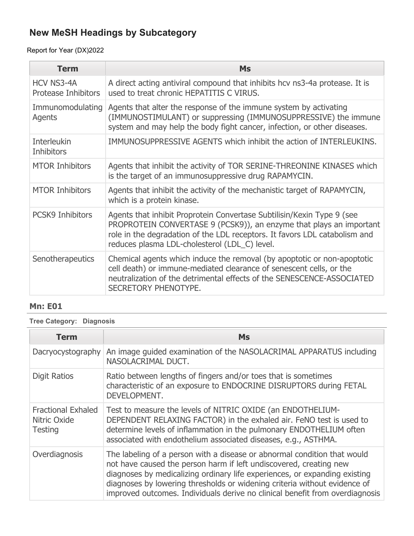Report for Year (DX)2022

| <b>Term</b>                                     | <b>Ms</b>                                                                                                                                                                                                                                                                    |
|-------------------------------------------------|------------------------------------------------------------------------------------------------------------------------------------------------------------------------------------------------------------------------------------------------------------------------------|
| <b>HCV NS3-4A</b><br><b>Protease Inhibitors</b> | A direct acting antiviral compound that inhibits hcv ns3-4a protease. It is<br>used to treat chronic HEPATITIS C VIRUS.                                                                                                                                                      |
| Immunomodulating<br>Agents                      | Agents that alter the response of the immune system by activating<br>(IMMUNOSTIMULANT) or suppressing (IMMUNOSUPPRESSIVE) the immune<br>system and may help the body fight cancer, infection, or other diseases.                                                             |
| <b>Interleukin</b><br><b>Inhibitors</b>         | IMMUNOSUPPRESSIVE AGENTS which inhibit the action of INTERLEUKINS.                                                                                                                                                                                                           |
| <b>MTOR Inhibitors</b>                          | Agents that inhibit the activity of TOR SERINE-THREONINE KINASES which<br>is the target of an immunosuppressive drug RAPAMYCIN.                                                                                                                                              |
| <b>MTOR Inhibitors</b>                          | Agents that inhibit the activity of the mechanistic target of RAPAMYCIN,<br>which is a protein kinase.                                                                                                                                                                       |
| <b>PCSK9 Inhibitors</b>                         | Agents that inhibit Proprotein Convertase Subtilisin/Kexin Type 9 (see<br>PROPROTEIN CONVERTASE 9 (PCSK9)), an enzyme that plays an important<br>role in the degradation of the LDL receptors. It favors LDL catabolism and<br>reduces plasma LDL-cholesterol (LDL_C) level. |
| <b>Senotherapeutics</b>                         | Chemical agents which induce the removal (by apoptotic or non-apoptotic<br>cell death) or immune-mediated clearance of senescent cells, or the<br>neutralization of the detrimental effects of the SENESCENCE-ASSOCIATED<br>SECRETORY PHENOTYPE.                             |

## **Mn: E01**

**Tree Category: Diagnosis**

| <b>Term</b>                                                 | Ms                                                                                                                                                                                                                                                                                                                                                                                        |
|-------------------------------------------------------------|-------------------------------------------------------------------------------------------------------------------------------------------------------------------------------------------------------------------------------------------------------------------------------------------------------------------------------------------------------------------------------------------|
| Dacryocystography                                           | An image guided examination of the NASOLACRIMAL APPARATUS including<br>NASOLACRIMAL DUCT.                                                                                                                                                                                                                                                                                                 |
| <b>Digit Ratios</b>                                         | Ratio between lengths of fingers and/or toes that is sometimes<br>characteristic of an exposure to ENDOCRINE DISRUPTORS during FETAL<br>DEVELOPMENT.                                                                                                                                                                                                                                      |
| <b>Fractional Exhaled</b><br>Nitric Oxide<br><b>Testing</b> | Test to measure the levels of NITRIC OXIDE (an ENDOTHELIUM-<br>DEPENDENT RELAXING FACTOR) in the exhaled air. FeNO test is used to<br>determine levels of inflammation in the pulmonary ENDOTHELIUM often<br>associated with endothelium associated diseases, e.g., ASTHMA.                                                                                                               |
| Overdiagnosis                                               | The labeling of a person with a disease or abnormal condition that would<br>not have caused the person harm if left undiscovered, creating new<br>diagnoses by medicalizing ordinary life experiences, or expanding existing<br>diagnoses by lowering thresholds or widening criteria without evidence of<br>improved outcomes. Individuals derive no clinical benefit from overdiagnosis |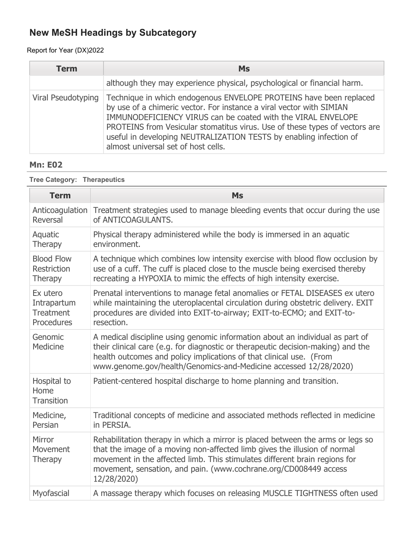Report for Year (DX)2022

| <b>Term</b>        | <b>Ms</b>                                                                                                                                                                                                                                                                                                                                                                                              |
|--------------------|--------------------------------------------------------------------------------------------------------------------------------------------------------------------------------------------------------------------------------------------------------------------------------------------------------------------------------------------------------------------------------------------------------|
|                    | although they may experience physical, psychological or financial harm.                                                                                                                                                                                                                                                                                                                                |
| Viral Pseudotyping | Technique in which endogenous ENVELOPE PROTEINS have been replaced<br>by use of a chimeric vector. For instance a viral vector with SIMIAN<br>IMMUNODEFICIENCY VIRUS can be coated with the VIRAL ENVELOPE<br>PROTEINS from Vesicular stomatitus virus. Use of these types of vectors are<br>useful in developing NEUTRALIZATION TESTS by enabling infection of<br>almost universal set of host cells. |

## **Mn: E02**

**Tree Category: Therapeutics**

| <b>Term</b>                              | <b>Ms</b>                                                                                                                                                                                                                                                                                                                    |
|------------------------------------------|------------------------------------------------------------------------------------------------------------------------------------------------------------------------------------------------------------------------------------------------------------------------------------------------------------------------------|
| Anticoagulation                          | Treatment strategies used to manage bleeding events that occur during the use                                                                                                                                                                                                                                                |
| Reversal                                 | of ANTICOAGULANTS.                                                                                                                                                                                                                                                                                                           |
| Aquatic                                  | Physical therapy administered while the body is immersed in an aquatic                                                                                                                                                                                                                                                       |
| Therapy                                  | environment.                                                                                                                                                                                                                                                                                                                 |
| <b>Blood Flow</b>                        | A technique which combines low intensity exercise with blood flow occlusion by                                                                                                                                                                                                                                               |
| <b>Restriction</b>                       | use of a cuff. The cuff is placed close to the muscle being exercised thereby                                                                                                                                                                                                                                                |
| Therapy                                  | recreating a HYPOXIA to mimic the effects of high intensity exercise.                                                                                                                                                                                                                                                        |
| Ex utero                                 | Prenatal interventions to manage fetal anomalies or FETAL DISEASES ex utero                                                                                                                                                                                                                                                  |
| Intrapartum                              | while maintaining the uteroplacental circulation during obstetric delivery. EXIT                                                                                                                                                                                                                                             |
| <b>Treatment</b>                         | procedures are divided into EXIT-to-airway; EXIT-to-ECMO; and EXIT-to-                                                                                                                                                                                                                                                       |
| Procedures                               | resection.                                                                                                                                                                                                                                                                                                                   |
| Genomic<br>Medicine                      | A medical discipline using genomic information about an individual as part of<br>their clinical care (e.g. for diagnostic or therapeutic decision-making) and the<br>health outcomes and policy implications of that clinical use. (From<br>www.genome.gov/health/Genomics-and-Medicine accessed 12/28/2020)                 |
| Hospital to<br>Home<br><b>Transition</b> | Patient-centered hospital discharge to home planning and transition.                                                                                                                                                                                                                                                         |
| Medicine,                                | Traditional concepts of medicine and associated methods reflected in medicine                                                                                                                                                                                                                                                |
| Persian                                  | in PERSIA.                                                                                                                                                                                                                                                                                                                   |
| Mirror<br>Movement<br>Therapy            | Rehabilitation therapy in which a mirror is placed between the arms or legs so<br>that the image of a moving non-affected limb gives the illusion of normal<br>movement in the affected limb. This stimulates different brain regions for<br>movement, sensation, and pain. (www.cochrane.org/CD008449 access<br>12/28/2020) |
| Myofascial                               | A massage therapy which focuses on releasing MUSCLE TIGHTNESS often used                                                                                                                                                                                                                                                     |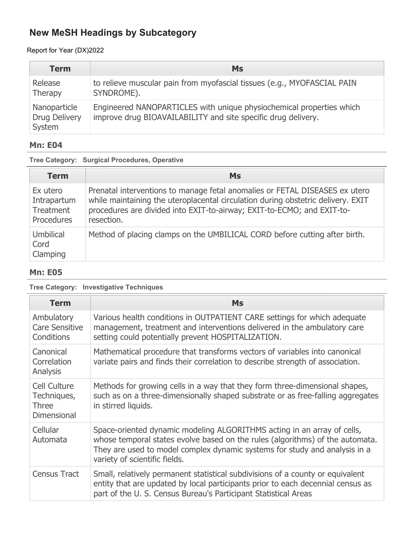Report for Year (DX)2022

| <b>Term</b>                                    | <b>Ms</b>                                                                                                                             |
|------------------------------------------------|---------------------------------------------------------------------------------------------------------------------------------------|
| Release<br>Therapy                             | to relieve muscular pain from myofascial tissues (e.g., MYOFASCIAL PAIN<br>SYNDROME).                                                 |
| Nanoparticle<br><b>Drug Delivery</b><br>System | Engineered NANOPARTICLES with unique physiochemical properties which<br>improve drug BIOAVAILABILITY and site specific drug delivery. |

### **Mn: E04**

|  |  |  | Tree Category: Surgical Procedures, Operative |  |
|--|--|--|-----------------------------------------------|--|
|--|--|--|-----------------------------------------------|--|

| <b>Term</b>                                        | <b>Ms</b>                                                                                                                                                                                                                                               |
|----------------------------------------------------|---------------------------------------------------------------------------------------------------------------------------------------------------------------------------------------------------------------------------------------------------------|
| Ex utero<br>Intrapartum<br>Treatment<br>Procedures | Prenatal interventions to manage fetal anomalies or FETAL DISEASES ex utero<br>while maintaining the uteroplacental circulation during obstetric delivery. EXIT<br>procedures are divided into EXIT-to-airway; EXIT-to-ECMO; and EXIT-to-<br>resection. |
| Umbilical<br>Cord<br>Clamping                      | Method of placing clamps on the UMBILICAL CORD before cutting after birth.                                                                                                                                                                              |

### **Mn: E05**

**Tree Category: Investigative Techniques**

| <b>Term</b>                                                              | <b>Ms</b>                                                                                                                                                                                                                                                               |
|--------------------------------------------------------------------------|-------------------------------------------------------------------------------------------------------------------------------------------------------------------------------------------------------------------------------------------------------------------------|
| Ambulatory<br><b>Care Sensitive</b><br>Conditions                        | Various health conditions in OUTPATIENT CARE settings for which adequate<br>management, treatment and interventions delivered in the ambulatory care<br>setting could potentially prevent HOSPITALIZATION.                                                              |
| Canonical<br>Correlation<br>Analysis                                     | Mathematical procedure that transforms vectors of variables into canonical<br>variate pairs and finds their correlation to describe strength of association.                                                                                                            |
| <b>Cell Culture</b><br>Techniques,<br><b>Three</b><br><b>Dimensional</b> | Methods for growing cells in a way that they form three-dimensional shapes,<br>such as on a three-dimensionally shaped substrate or as free-falling aggregates<br>in stirred liquids.                                                                                   |
| Cellular<br>Automata                                                     | Space-oriented dynamic modeling ALGORITHMS acting in an array of cells,<br>whose temporal states evolve based on the rules (algorithms) of the automata.<br>They are used to model complex dynamic systems for study and analysis in a<br>variety of scientific fields. |
| <b>Census Tract</b>                                                      | Small, relatively permanent statistical subdivisions of a county or equivalent<br>entity that are updated by local participants prior to each decennial census as<br>part of the U. S. Census Bureau's Participant Statistical Areas                                    |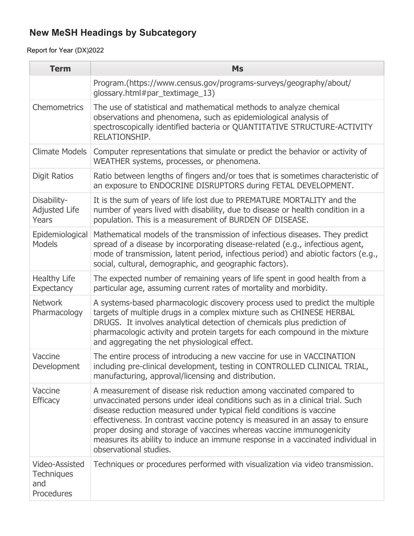| <b>Term</b>                                              | <b>Ms</b>                                                                                                                                                                                                                                                                                                                                                                                                                                                                                          |
|----------------------------------------------------------|----------------------------------------------------------------------------------------------------------------------------------------------------------------------------------------------------------------------------------------------------------------------------------------------------------------------------------------------------------------------------------------------------------------------------------------------------------------------------------------------------|
|                                                          | Program.(https://www.census.gov/programs-surveys/geography/about/<br>glossary.html#par_textimage_13)                                                                                                                                                                                                                                                                                                                                                                                               |
| <b>Chemometrics</b>                                      | The use of statistical and mathematical methods to analyze chemical<br>observations and phenomena, such as epidemiological analysis of<br>spectroscopically identified bacteria or QUANTITATIVE STRUCTURE-ACTIVITY<br>RELATIONSHIP.                                                                                                                                                                                                                                                                |
| Climate Models                                           | Computer representations that simulate or predict the behavior or activity of<br>WEATHER systems, processes, or phenomena.                                                                                                                                                                                                                                                                                                                                                                         |
| <b>Digit Ratios</b>                                      | Ratio between lengths of fingers and/or toes that is sometimes characteristic of<br>an exposure to ENDOCRINE DISRUPTORS during FETAL DEVELOPMENT.                                                                                                                                                                                                                                                                                                                                                  |
| Disability-<br><b>Adjusted Life</b><br>Years             | It is the sum of years of life lost due to PREMATURE MORTALITY and the<br>number of years lived with disability, due to disease or health condition in a<br>population. This is a measurement of BURDEN OF DISEASE.                                                                                                                                                                                                                                                                                |
| Epidemiological<br><b>Models</b>                         | Mathematical models of the transmission of infectious diseases. They predict<br>spread of a disease by incorporating disease-related (e.g., infectious agent,<br>mode of transmission, latent period, infectious period) and abiotic factors (e.g.,<br>social, cultural, demographic, and geographic factors).                                                                                                                                                                                     |
| <b>Healthy Life</b><br><b>Expectancy</b>                 | The expected number of remaining years of life spent in good health from a<br>particular age, assuming current rates of mortality and morbidity.                                                                                                                                                                                                                                                                                                                                                   |
| <b>Network</b><br>Pharmacology                           | A systems-based pharmacologic discovery process used to predict the multiple<br>targets of multiple drugs in a complex mixture such as CHINESE HERBAL<br>DRUGS. It involves analytical detection of chemicals plus prediction of<br>pharmacologic activity and protein targets for each compound in the mixture<br>and aggregating the net physiological effect.                                                                                                                                   |
| Vaccine<br>Development                                   | The entire process of introducing a new vaccine for use in VACCINATION<br>including pre-clinical development, testing in CONTROLLED CLINICAL TRIAL,<br>manufacturing, approval/licensing and distribution.                                                                                                                                                                                                                                                                                         |
| Vaccine<br><b>Efficacy</b>                               | A measurement of disease risk reduction among vaccinated compared to<br>unvaccinated persons under ideal conditions such as in a clinical trial. Such<br>disease reduction measured under typical field conditions is vaccine<br>effectiveness. In contrast vaccine potency is measured in an assay to ensure<br>proper dosing and storage of vaccines whereas vaccine immunogenicity<br>measures its ability to induce an immune response in a vaccinated individual in<br>observational studies. |
| Video-Assisted<br><b>Techniques</b><br>and<br>Procedures | Techniques or procedures performed with visualization via video transmission.                                                                                                                                                                                                                                                                                                                                                                                                                      |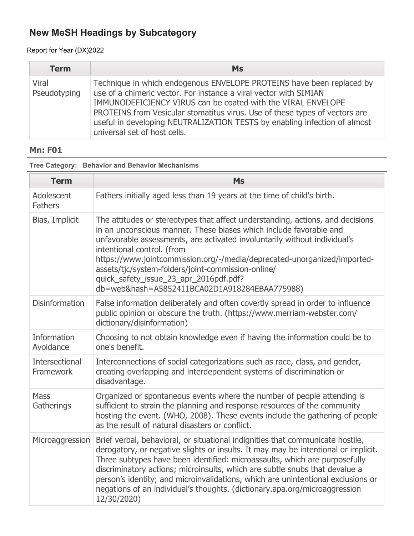### Report for Year (DX)2022

| <b>Term</b>           | <b>Ms</b>                                                                                                                                                                                                                                                                                                                                                                                              |
|-----------------------|--------------------------------------------------------------------------------------------------------------------------------------------------------------------------------------------------------------------------------------------------------------------------------------------------------------------------------------------------------------------------------------------------------|
| Viral<br>Pseudotyping | Technique in which endogenous ENVELOPE PROTEINS have been replaced by<br>use of a chimeric vector. For instance a viral vector with SIMIAN<br>IMMUNODEFICIENCY VIRUS can be coated with the VIRAL ENVELOPE<br>PROTEINS from Vesicular stomatitus virus. Use of these types of vectors are<br>useful in developing NEUTRALIZATION TESTS by enabling infection of almost<br>universal set of host cells. |

## **Mn: F01**

| <b>Term</b>                        | <b>Ms</b>                                                                                                                                                                                                                                                                                                                                                                                                                                                                                                          |
|------------------------------------|--------------------------------------------------------------------------------------------------------------------------------------------------------------------------------------------------------------------------------------------------------------------------------------------------------------------------------------------------------------------------------------------------------------------------------------------------------------------------------------------------------------------|
| Adolescent<br><b>Fathers</b>       | Fathers initially aged less than 19 years at the time of child's birth.                                                                                                                                                                                                                                                                                                                                                                                                                                            |
| Bias, Implicit                     | The attitudes or stereotypes that affect understanding, actions, and decisions<br>in an unconscious manner. These biases which include favorable and<br>unfavorable assessments, are activated involuntarily without individual's<br>intentional control. (from<br>https://www.jointcommission.org/-/media/deprecated-unorganized/imported-<br>assets/tjc/system-folders/joint-commission-online/<br>quick_safety_issue_23_apr_2016pdf.pdf?<br>db=web&hash=A5852411BCA02D1A918284EBAA775988)                       |
| <b>Disinformation</b>              | False information deliberately and often covertly spread in order to influence<br>public opinion or obscure the truth. (https://www.merriam-webster.com/<br>dictionary/disinformation)                                                                                                                                                                                                                                                                                                                             |
| <b>Information</b><br>Avoidance    | Choosing to not obtain knowledge even if having the information could be to<br>one's benefit.                                                                                                                                                                                                                                                                                                                                                                                                                      |
| <b>Intersectional</b><br>Framework | Interconnections of social categorizations such as race, class, and gender,<br>creating overlapping and interdependent systems of discrimination or<br>disadvantage.                                                                                                                                                                                                                                                                                                                                               |
| <b>Mass</b><br>Gatherings          | Organized or spontaneous events where the number of people attending is<br>sufficient to strain the planning and response resources of the community<br>hosting the event. (WHO, 2008). These events include the gathering of people<br>as the result of natural disasters or conflict.                                                                                                                                                                                                                            |
| Microaggression                    | Brief verbal, behavioral, or situational indignities that communicate hostile,<br>derogatory, or negative slights or insults. It may may be intentional or implicit.<br>Three subtypes have been identified: microassaults, which are purposefully<br>discriminatory actions; microinsults, which are subtle snubs that devalue a<br>person's identity; and microinvalidations, which are unintentional exclusions or<br>negations of an individual's thoughts. (dictionary.apa.org/microaggression<br>12/30/2020) |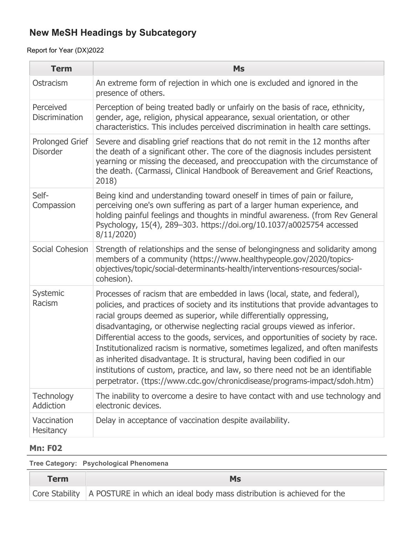Report for Year (DX)2022

| <b>Term</b>                               | <b>Ms</b>                                                                                                                                                                                                                                                                                                                                                                                                                                                                                                                                                                                                                                                                                                                               |
|-------------------------------------------|-----------------------------------------------------------------------------------------------------------------------------------------------------------------------------------------------------------------------------------------------------------------------------------------------------------------------------------------------------------------------------------------------------------------------------------------------------------------------------------------------------------------------------------------------------------------------------------------------------------------------------------------------------------------------------------------------------------------------------------------|
| Ostracism                                 | An extreme form of rejection in which one is excluded and ignored in the<br>presence of others.                                                                                                                                                                                                                                                                                                                                                                                                                                                                                                                                                                                                                                         |
| Perceived<br><b>Discrimination</b>        | Perception of being treated badly or unfairly on the basis of race, ethnicity,<br>gender, age, religion, physical appearance, sexual orientation, or other<br>characteristics. This includes perceived discrimination in health care settings.                                                                                                                                                                                                                                                                                                                                                                                                                                                                                          |
| <b>Prolonged Grief</b><br><b>Disorder</b> | Severe and disabling grief reactions that do not remit in the 12 months after<br>the death of a significant other. The core of the diagnosis includes persistent<br>yearning or missing the deceased, and preoccupation with the circumstance of<br>the death. (Carmassi, Clinical Handbook of Bereavement and Grief Reactions,<br>2018)                                                                                                                                                                                                                                                                                                                                                                                                |
| Self-<br>Compassion                       | Being kind and understanding toward oneself in times of pain or failure,<br>perceiving one's own suffering as part of a larger human experience, and<br>holding painful feelings and thoughts in mindful awareness. (from Rev General<br>Psychology, 15(4), 289-303. https://doi.org/10.1037/a0025754 accessed<br>8/11/2020                                                                                                                                                                                                                                                                                                                                                                                                             |
| Social Cohesion                           | Strength of relationships and the sense of belongingness and solidarity among<br>members of a community (https://www.healthypeople.gov/2020/topics-<br>objectives/topic/social-determinants-health/interventions-resources/social-<br>cohesion).                                                                                                                                                                                                                                                                                                                                                                                                                                                                                        |
| Systemic<br>Racism                        | Processes of racism that are embedded in laws (local, state, and federal),<br>policies, and practices of society and its institutions that provide advantages to<br>racial groups deemed as superior, while differentially oppressing,<br>disadvantaging, or otherwise neglecting racial groups viewed as inferior.<br>Differential access to the goods, services, and opportunities of society by race.<br>Institutionalized racism is normative, sometimes legalized, and often manifests<br>as inherited disadvantage. It is structural, having been codified in our<br>institutions of custom, practice, and law, so there need not be an identifiable<br>perpetrator. (ttps://www.cdc.gov/chronicdisease/programs-impact/sdoh.htm) |
| Technology<br><b>Addiction</b>            | The inability to overcome a desire to have contact with and use technology and<br>electronic devices.                                                                                                                                                                                                                                                                                                                                                                                                                                                                                                                                                                                                                                   |
| Vaccination<br><b>Hesitancy</b>           | Delay in acceptance of vaccination despite availability.                                                                                                                                                                                                                                                                                                                                                                                                                                                                                                                                                                                                                                                                                |

## **Mn: F02**

**Tree Category: Psychological Phenomena**

| <b>Term</b> | Ms                                                                                      |
|-------------|-----------------------------------------------------------------------------------------|
|             | Core Stability   A POSTURE in which an ideal body mass distribution is achieved for the |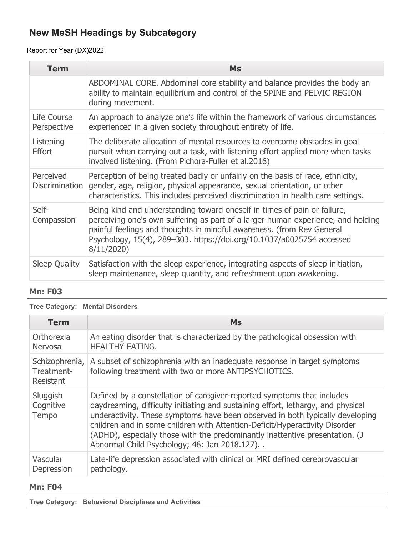### Report for Year (DX)2022

| <b>Term</b>                        | <b>Ms</b>                                                                                                                                                                                                                                                                                                                   |
|------------------------------------|-----------------------------------------------------------------------------------------------------------------------------------------------------------------------------------------------------------------------------------------------------------------------------------------------------------------------------|
|                                    | ABDOMINAL CORE. Abdominal core stability and balance provides the body an<br>ability to maintain equilibrium and control of the SPINE and PELVIC REGION<br>during movement.                                                                                                                                                 |
| Life Course<br>Perspective         | An approach to analyze one's life within the framework of various circumstances<br>experienced in a given society throughout entirety of life.                                                                                                                                                                              |
| Listening<br><b>Effort</b>         | The deliberate allocation of mental resources to overcome obstacles in goal<br>pursuit when carrying out a task, with listening effort applied more when tasks<br>involved listening. (From Pichora-Fuller et al.2016)                                                                                                      |
| Perceived<br><b>Discrimination</b> | Perception of being treated badly or unfairly on the basis of race, ethnicity,<br>gender, age, religion, physical appearance, sexual orientation, or other<br>characteristics. This includes perceived discrimination in health care settings.                                                                              |
| Self-<br>Compassion                | Being kind and understanding toward oneself in times of pain or failure,<br>perceiving one's own suffering as part of a larger human experience, and holding<br>painful feelings and thoughts in mindful awareness. (from Rev General<br>Psychology, 15(4), 289-303. https://doi.org/10.1037/a0025754 accessed<br>8/11/2020 |
| Sleep Quality                      | Satisfaction with the sleep experience, integrating aspects of sleep initiation,<br>sleep maintenance, sleep quantity, and refreshment upon awakening.                                                                                                                                                                      |

### **Mn: F03**

### **Tree Category: Mental Disorders**

| <b>Term</b>                               | <b>Ms</b>                                                                                                                                                                                                                                                                                                                                                                                                                                                   |
|-------------------------------------------|-------------------------------------------------------------------------------------------------------------------------------------------------------------------------------------------------------------------------------------------------------------------------------------------------------------------------------------------------------------------------------------------------------------------------------------------------------------|
| Orthorexia<br><b>Nervosa</b>              | An eating disorder that is characterized by the pathological obsession with<br><b>HEALTHY EATING.</b>                                                                                                                                                                                                                                                                                                                                                       |
| Schizophrenia,<br>Treatment-<br>Resistant | A subset of schizophrenia with an inadequate response in target symptoms<br>following treatment with two or more ANTIPSYCHOTICS.                                                                                                                                                                                                                                                                                                                            |
| Sluggish<br>Cognitive<br>Tempo            | Defined by a constellation of caregiver-reported symptoms that includes<br>daydreaming, difficulty initiating and sustaining effort, lethargy, and physical<br>underactivity. These symptoms have been observed in both typically developing<br>children and in some children with Attention-Deficit/Hyperactivity Disorder<br>(ADHD), especially those with the predominantly inattentive presentation. (J<br>Abnormal Child Psychology; 46: Jan 2018.127) |
| Vascular<br>Depression                    | Late-life depression associated with clinical or MRI defined cerebrovascular<br>pathology.                                                                                                                                                                                                                                                                                                                                                                  |

#### **Mn: F04**

**Tree Category: Behavioral Disciplines and Activities**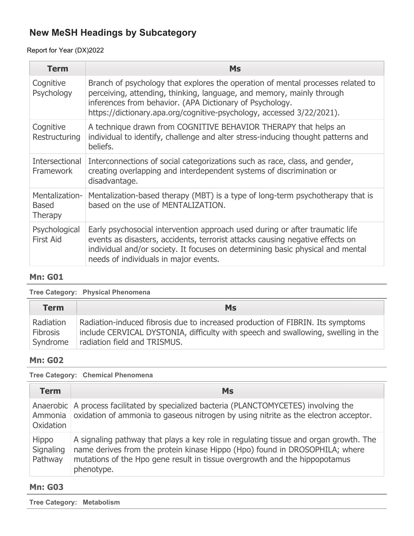### Report for Year (DX)2022

| <b>Term</b>                               | <b>Ms</b>                                                                                                                                                                                                                                                                                     |
|-------------------------------------------|-----------------------------------------------------------------------------------------------------------------------------------------------------------------------------------------------------------------------------------------------------------------------------------------------|
| Cognitive<br>Psychology                   | Branch of psychology that explores the operation of mental processes related to<br>perceiving, attending, thinking, language, and memory, mainly through<br>inferences from behavior. (APA Dictionary of Psychology.<br>https://dictionary.apa.org/cognitive-psychology, accessed 3/22/2021). |
| Cognitive<br>Restructuring                | A technique drawn from COGNITIVE BEHAVIOR THERAPY that helps an<br>individual to identify, challenge and alter stress-inducing thought patterns and<br>beliefs.                                                                                                                               |
| Intersectional<br><b>Framework</b>        | Interconnections of social categorizations such as race, class, and gender,<br>creating overlapping and interdependent systems of discrimination or<br>disadvantage.                                                                                                                          |
| Mentalization-<br><b>Based</b><br>Therapy | Mentalization-based therapy (MBT) is a type of long-term psychotherapy that is<br>based on the use of MENTALIZATION.                                                                                                                                                                          |
| Psychological<br><b>First Aid</b>         | Early psychosocial intervention approach used during or after traumatic life<br>events as disasters, accidents, terrorist attacks causing negative effects on<br>individual and/or society. It focuses on determining basic physical and mental<br>needs of individuals in major events.      |

## **Mn: G01**

#### **Tree Category: Physical Phenomena**

| <b>Term</b>                  | <b>Ms</b>                                                                                                                                                           |
|------------------------------|---------------------------------------------------------------------------------------------------------------------------------------------------------------------|
| Radiation<br><b>Fibrosis</b> | Radiation-induced fibrosis due to increased production of FIBRIN. Its symptoms<br>include CERVICAL DYSTONIA, difficulty with speech and swallowing, swelling in the |
| Syndrome                     | radiation field and TRISMUS.                                                                                                                                        |

#### **Mn: G02**

#### **Tree Category: Chemical Phenomena**

| <b>Term</b>                   | <b>Ms</b>                                                                                                                                                                                                                                                       |
|-------------------------------|-----------------------------------------------------------------------------------------------------------------------------------------------------------------------------------------------------------------------------------------------------------------|
| Ammonia<br>Oxidation          | Anaerobic   A process facilitated by specialized bacteria (PLANCTOMYCETES) involving the<br>oxidation of ammonia to gaseous nitrogen by using nitrite as the electron acceptor.                                                                                 |
| Hippo<br>Signaling<br>Pathway | A signaling pathway that plays a key role in regulating tissue and organ growth. The<br>name derives from the protein kinase Hippo (Hpo) found in DROSOPHILA; where<br>mutations of the Hpo gene result in tissue overgrowth and the hippopotamus<br>phenotype. |

#### **Mn: G03**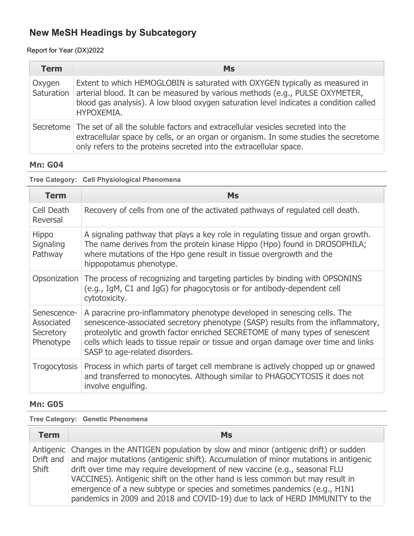### Report for Year (DX)2022

| <b>Term</b> | Ms                                                                                                                                                                                                                                                                               |  |  |  |  |
|-------------|----------------------------------------------------------------------------------------------------------------------------------------------------------------------------------------------------------------------------------------------------------------------------------|--|--|--|--|
| Oxygen      | Extent to which HEMOGLOBIN is saturated with OXYGEN typically as measured in<br>Saturation   arterial blood. It can be measured by various methods (e.g., PULSE OXYMETER,<br>blood gas analysis). A low blood oxygen saturation level indicates a condition called<br>HYPOXEMIA. |  |  |  |  |
|             | Secretome The set of all the soluble factors and extracellular vesicles secreted into the<br>extracellular space by cells, or an organ or organism. In some studies the secretome<br>only refers to the proteins secreted into the extracellular space.                          |  |  |  |  |

## **Mn: G04**

### **Tree Category: Cell Physiological Phenomena**

| <b>Term</b>                                         | <b>Ms</b>                                                                                                                                                                                                                                                                                                                                                         |
|-----------------------------------------------------|-------------------------------------------------------------------------------------------------------------------------------------------------------------------------------------------------------------------------------------------------------------------------------------------------------------------------------------------------------------------|
| Cell Death<br>Reversal                              | Recovery of cells from one of the activated pathways of regulated cell death.                                                                                                                                                                                                                                                                                     |
| <b>Hippo</b><br>Signaling<br>Pathway                | A signaling pathway that plays a key role in regulating tissue and organ growth.<br>The name derives from the protein kinase Hippo (Hpo) found in DROSOPHILA;<br>where mutations of the Hpo gene result in tissue overgrowth and the<br>hippopotamus phenotype.                                                                                                   |
| Opsonization                                        | The process of recognizing and targeting particles by binding with OPSONINS<br>(e.g., IgM, C1 and IgG) for phagocytosis or for antibody-dependent cell<br>cytotoxicity.                                                                                                                                                                                           |
| Senescence-<br>Associated<br>Secretory<br>Phenotype | A paracrine pro-inflammatory phenotype developed in senescing cells. The<br>senescence-associated secretory phenotype (SASP) results from the inflammatory,<br>proteolytic and growth factor enriched SECRETOME of many types of senescent<br>cells which leads to tissue repair or tissue and organ damage over time and links<br>SASP to age-related disorders. |
| <b>Trogocytosis</b>                                 | Process in which parts of target cell membrane is actively chopped up or gnawed<br>and transferred to monocytes. Although similar to PHAGOCYTOSIS it does not<br>involve engulfing.                                                                                                                                                                               |

### **Mn: G05**

### **Tree Category: Genetic Phenomena**

| <b>Term</b> | <b>Ms</b>                                                                                                                                                                                                                                                                                                                                                                                                                                                                                                              |
|-------------|------------------------------------------------------------------------------------------------------------------------------------------------------------------------------------------------------------------------------------------------------------------------------------------------------------------------------------------------------------------------------------------------------------------------------------------------------------------------------------------------------------------------|
| Shift       | Antigenic Changes in the ANTIGEN population by slow and minor (antigenic drift) or sudden<br>Drift and and major mutations (antigenic shift). Accumulation of minor mutations in antigenic<br>drift over time may require development of new vaccine (e.g., seasonal FLU<br>VACCINES). Antigenic shift on the other hand is less common but may result in<br>emergence of a new subtype or species and sometimes pandemics (e.g., H1N1<br>pandemics in 2009 and 2018 and COVID-19) due to lack of HERD IMMUNITY to the |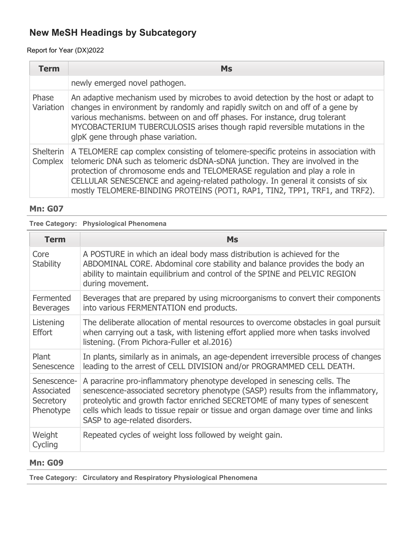### Report for Year (DX)2022

| <b>Term</b>          | <b>Ms</b>                                                                                                                                                                                                                                                                                                                                                                                                           |  |  |  |  |
|----------------------|---------------------------------------------------------------------------------------------------------------------------------------------------------------------------------------------------------------------------------------------------------------------------------------------------------------------------------------------------------------------------------------------------------------------|--|--|--|--|
|                      | newly emerged novel pathogen.                                                                                                                                                                                                                                                                                                                                                                                       |  |  |  |  |
| Phase<br>Variation   | An adaptive mechanism used by microbes to avoid detection by the host or adapt to<br>changes in environment by randomly and rapidly switch on and off of a gene by<br>various mechanisms. between on and off phases. For instance, drug tolerant<br>MYCOBACTERIUM TUBERCULOSIS arises though rapid reversible mutations in the<br>glpK gene through phase variation.                                                |  |  |  |  |
| Shelterin<br>Complex | A TELOMERE cap complex consisting of telomere-specific proteins in association with<br>telomeric DNA such as telomeric dsDNA-sDNA junction. They are involved in the<br>protection of chromosome ends and TELOMERASE regulation and play a role in<br>CELLULAR SENESCENCE and ageing-related pathology. In general it consists of six<br>mostly TELOMERE-BINDING PROTEINS (POT1, RAP1, TIN2, TPP1, TRF1, and TRF2). |  |  |  |  |

#### **Mn: G07**

### **Tree Category: Physiological Phenomena**

| <b>Term</b>                                         | <b>Ms</b>                                                                                                                                                                                                                                                                                                                                                         |
|-----------------------------------------------------|-------------------------------------------------------------------------------------------------------------------------------------------------------------------------------------------------------------------------------------------------------------------------------------------------------------------------------------------------------------------|
| Core<br><b>Stability</b>                            | A POSTURE in which an ideal body mass distribution is achieved for the<br>ABDOMINAL CORE. Abdominal core stability and balance provides the body an<br>ability to maintain equilibrium and control of the SPINE and PELVIC REGION<br>during movement.                                                                                                             |
| Fermented<br><b>Beverages</b>                       | Beverages that are prepared by using microorganisms to convert their components<br>into various FERMENTATION end products.                                                                                                                                                                                                                                        |
| Listening<br><b>Effort</b>                          | The deliberate allocation of mental resources to overcome obstacles in goal pursuit<br>when carrying out a task, with listening effort applied more when tasks involved<br>listening. (From Pichora-Fuller et al.2016)                                                                                                                                            |
| Plant<br>Senescence                                 | In plants, similarly as in animals, an age-dependent irreversible process of changes<br>leading to the arrest of CELL DIVISION and/or PROGRAMMED CELL DEATH.                                                                                                                                                                                                      |
| Senescence-<br>Associated<br>Secretory<br>Phenotype | A paracrine pro-inflammatory phenotype developed in senescing cells. The<br>senescence-associated secretory phenotype (SASP) results from the inflammatory,<br>proteolytic and growth factor enriched SECRETOME of many types of senescent<br>cells which leads to tissue repair or tissue and organ damage over time and links<br>SASP to age-related disorders. |
| Weight<br>Cycling                                   | Repeated cycles of weight loss followed by weight gain.                                                                                                                                                                                                                                                                                                           |

### **Mn: G09**

**Tree Category: Circulatory and Respiratory Physiological Phenomena**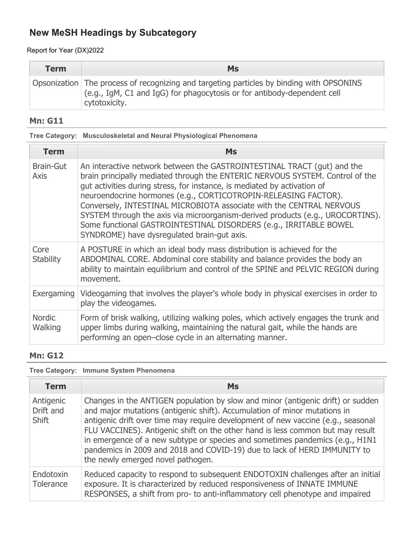Report for Year (DX)2022

| <b>Term</b> | <b>Ms</b>                                                                                                                                                                            |  |  |  |
|-------------|--------------------------------------------------------------------------------------------------------------------------------------------------------------------------------------|--|--|--|
|             | Opsonization The process of recognizing and targeting particles by binding with OPSONINS<br>(e.g., IgM, C1 and IgG) for phagocytosis or for antibody-dependent cell<br>cytotoxicity. |  |  |  |

### **Mn: G11**

|  | Tree Category: Musculoskeletal and Neural Physiological Phenomena |  |  |  |
|--|-------------------------------------------------------------------|--|--|--|
|--|-------------------------------------------------------------------|--|--|--|

| <b>Term</b>                     | <b>Ms</b>                                                                                                                                                                                                                                                                                                                                                                                                                                                                                                                                                                             |
|---------------------------------|---------------------------------------------------------------------------------------------------------------------------------------------------------------------------------------------------------------------------------------------------------------------------------------------------------------------------------------------------------------------------------------------------------------------------------------------------------------------------------------------------------------------------------------------------------------------------------------|
| <b>Brain-Gut</b><br><b>Axis</b> | An interactive network between the GASTROINTESTINAL TRACT (gut) and the<br>brain principally mediated through the ENTERIC NERVOUS SYSTEM. Control of the<br>gut activities during stress, for instance, is mediated by activation of<br>neuroendocrine hormones (e.g., CORTICOTROPIN-RELEASING FACTOR).<br>Conversely, INTESTINAL MICROBIOTA associate with the CENTRAL NERVOUS<br>SYSTEM through the axis via microorganism-derived products (e.g., UROCORTINS).<br>Some functional GASTROINTESTINAL DISORDERS (e.g., IRRITABLE BOWEL<br>SYNDROME) have dysregulated brain-gut axis. |
| Core<br><b>Stability</b>        | A POSTURE in which an ideal body mass distribution is achieved for the<br>ABDOMINAL CORE. Abdominal core stability and balance provides the body an<br>ability to maintain equilibrium and control of the SPINE and PELVIC REGION during<br>movement.                                                                                                                                                                                                                                                                                                                                 |
|                                 | Exergaming Videogaming that involves the player's whole body in physical exercises in order to<br>play the videogames.                                                                                                                                                                                                                                                                                                                                                                                                                                                                |
| <b>Nordic</b><br>Walking        | Form of brisk walking, utilizing walking poles, which actively engages the trunk and<br>upper limbs during walking, maintaining the natural gait, while the hands are<br>performing an open-close cycle in an alternating manner.                                                                                                                                                                                                                                                                                                                                                     |

#### **Mn: G12**

### **Tree Category: Immune System Phenomena**

| <b>Term</b>                            | <b>Ms</b>                                                                                                                                                                                                                                                                                                                                                                                                                                                                                                                           |
|----------------------------------------|-------------------------------------------------------------------------------------------------------------------------------------------------------------------------------------------------------------------------------------------------------------------------------------------------------------------------------------------------------------------------------------------------------------------------------------------------------------------------------------------------------------------------------------|
| Antigenic<br>Drift and<br><b>Shift</b> | Changes in the ANTIGEN population by slow and minor (antigenic drift) or sudden<br>and major mutations (antigenic shift). Accumulation of minor mutations in<br>antigenic drift over time may require development of new vaccine (e.g., seasonal<br>FLU VACCINES). Antigenic shift on the other hand is less common but may result<br>in emergence of a new subtype or species and sometimes pandemics (e.g., H1N1<br>pandemics in 2009 and 2018 and COVID-19) due to lack of HERD IMMUNITY to<br>the newly emerged novel pathogen. |
| Endotoxin<br>Tolerance                 | Reduced capacity to respond to subsequent ENDOTOXIN challenges after an initial<br>exposure. It is characterized by reduced responsiveness of INNATE IMMUNE<br>RESPONSES, a shift from pro- to anti-inflammatory cell phenotype and impaired                                                                                                                                                                                                                                                                                        |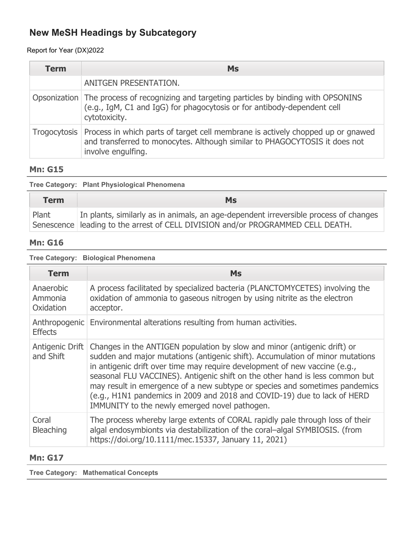### Report for Year (DX)2022

| Term | <b>Ms</b>                                                                                                                                                                                          |
|------|----------------------------------------------------------------------------------------------------------------------------------------------------------------------------------------------------|
|      | ANITGEN PRESENTATION.                                                                                                                                                                              |
|      | Opsonization The process of recognizing and targeting particles by binding with OPSONINS<br>(e.g., IgM, C1 and IgG) for phagocytosis or for antibody-dependent cell<br>cytotoxicity.               |
|      | Trogocytosis   Process in which parts of target cell membrane is actively chopped up or gnawed<br>and transferred to monocytes. Although similar to PHAGOCYTOSIS it does not<br>involve engulfing. |

### **Mn: G15**

| Tree Category: Plant Physiological Phenomena |  |  |  |
|----------------------------------------------|--|--|--|
|----------------------------------------------|--|--|--|

| <b>Term</b> | Ms                                                                                                                                                                        |
|-------------|---------------------------------------------------------------------------------------------------------------------------------------------------------------------------|
| Plant       | In plants, similarly as in animals, an age-dependent irreversible process of changes<br>Senescence   leading to the arrest of CELL DIVISION and/or PROGRAMMED CELL DEATH. |

### **Mn: G16**

#### **Tree Category: Biological Phenomena**

| <b>Term</b>                       | <b>Ms</b>                                                                                                                                                                                                                                                                                                                                                                                                                                                                                                                           |
|-----------------------------------|-------------------------------------------------------------------------------------------------------------------------------------------------------------------------------------------------------------------------------------------------------------------------------------------------------------------------------------------------------------------------------------------------------------------------------------------------------------------------------------------------------------------------------------|
| Anaerobic<br>Ammonia<br>Oxidation | A process facilitated by specialized bacteria (PLANCTOMYCETES) involving the<br>oxidation of ammonia to gaseous nitrogen by using nitrite as the electron<br>acceptor.                                                                                                                                                                                                                                                                                                                                                              |
| <b>Effects</b>                    | Anthropogenic Environmental alterations resulting from human activities.                                                                                                                                                                                                                                                                                                                                                                                                                                                            |
| Antigenic Drift<br>and Shift      | Changes in the ANTIGEN population by slow and minor (antigenic drift) or<br>sudden and major mutations (antigenic shift). Accumulation of minor mutations<br>in antigenic drift over time may require development of new vaccine (e.g.,<br>seasonal FLU VACCINES). Antigenic shift on the other hand is less common but<br>may result in emergence of a new subtype or species and sometimes pandemics<br>(e.g., H1N1 pandemics in 2009 and 2018 and COVID-19) due to lack of HERD<br>IMMUNITY to the newly emerged novel pathogen. |
| Coral<br>Bleaching                | The process whereby large extents of CORAL rapidly pale through loss of their<br>algal endosymbionts via destabilization of the coral-algal SYMBIOSIS. (from<br>https://doi.org/10.1111/mec.15337, January 11, 2021)                                                                                                                                                                                                                                                                                                                |

### **Mn: G17**

**Tree Category: Mathematical Concepts**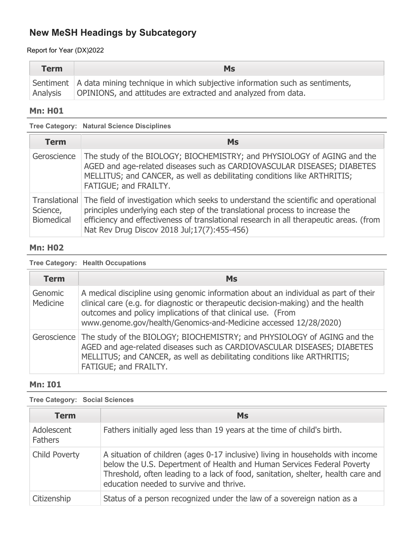Report for Year (DX)2022

| <b>Term</b> | <b>Ms</b>                                                                                                                                                |
|-------------|----------------------------------------------------------------------------------------------------------------------------------------------------------|
| Analysis    | Sentiment   A data mining technique in which subjective information such as sentiments,<br>OPINIONS, and attitudes are extracted and analyzed from data. |

### **Mn: H01**

**Tree Category: Natural Science Disciplines**

| <b>Term</b>                   | <b>Ms</b>                                                                                                                                                                                                                                                                                                                    |
|-------------------------------|------------------------------------------------------------------------------------------------------------------------------------------------------------------------------------------------------------------------------------------------------------------------------------------------------------------------------|
| Geroscience                   | The study of the BIOLOGY; BIOCHEMISTRY; and PHYSIOLOGY of AGING and the<br>AGED and age-related diseases such as CARDIOVASCULAR DISEASES; DIABETES<br>MELLITUS; and CANCER, as well as debilitating conditions like ARTHRITIS;<br>FATIGUE; and FRAILTY.                                                                      |
| Science,<br><b>Biomedical</b> | Translational The field of investigation which seeks to understand the scientific and operational<br>principles underlying each step of the translational process to increase the<br>efficiency and effectiveness of translational research in all therapeutic areas. (from<br>Nat Rev Drug Discov 2018 Jul; 17(7): 455-456) |

### **Mn: H02**

#### **Tree Category: Health Occupations**

| <b>Term</b>         | <b>Ms</b>                                                                                                                                                                                                                                                                                                    |
|---------------------|--------------------------------------------------------------------------------------------------------------------------------------------------------------------------------------------------------------------------------------------------------------------------------------------------------------|
| Genomic<br>Medicine | A medical discipline using genomic information about an individual as part of their<br>clinical care (e.g. for diagnostic or therapeutic decision-making) and the health<br>outcomes and policy implications of that clinical use. (From<br>www.genome.gov/health/Genomics-and-Medicine accessed 12/28/2020) |
| Geroscience         | The study of the BIOLOGY; BIOCHEMISTRY; and PHYSIOLOGY of AGING and the<br>AGED and age-related diseases such as CARDIOVASCULAR DISEASES; DIABETES<br>MELLITUS; and CANCER, as well as debilitating conditions like ARTHRITIS;<br>FATIGUE; and FRAILTY.                                                      |

### **Mn: I01**

**Tree Category: Social Sciences**

| <b>Term</b>                  | <b>Ms</b>                                                                                                                                                                                                                                                                               |
|------------------------------|-----------------------------------------------------------------------------------------------------------------------------------------------------------------------------------------------------------------------------------------------------------------------------------------|
| Adolescent<br><b>Fathers</b> | Fathers initially aged less than 19 years at the time of child's birth.                                                                                                                                                                                                                 |
| <b>Child Poverty</b>         | A situation of children (ages 0-17 inclusive) living in households with income<br>below the U.S. Depertment of Health and Human Services Federal Poverty<br>Threshold, often leading to a lack of food, sanitation, shelter, health care and<br>education needed to survive and thrive. |
| Citizenship                  | Status of a person recognized under the law of a sovereign nation as a                                                                                                                                                                                                                  |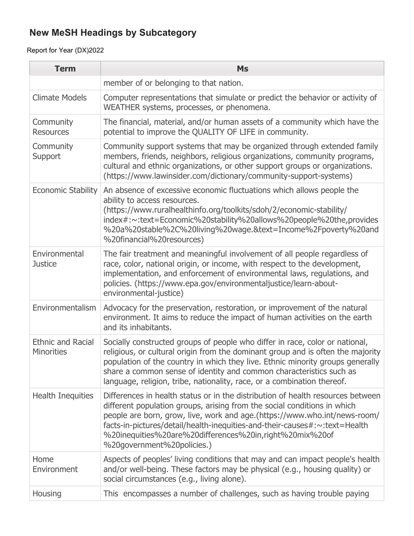| <b>Term</b>                                   | <b>Ms</b>                                                                                                                                                                                                                                                                                                                                                                                                       |
|-----------------------------------------------|-----------------------------------------------------------------------------------------------------------------------------------------------------------------------------------------------------------------------------------------------------------------------------------------------------------------------------------------------------------------------------------------------------------------|
|                                               | member of or belonging to that nation.                                                                                                                                                                                                                                                                                                                                                                          |
| <b>Climate Models</b>                         | Computer representations that simulate or predict the behavior or activity of<br>WEATHER systems, processes, or phenomena.                                                                                                                                                                                                                                                                                      |
| Community<br><b>Resources</b>                 | The financial, material, and/or human assets of a community which have the<br>potential to improve the QUALITY OF LIFE in community.                                                                                                                                                                                                                                                                            |
| Community<br>Support                          | Community support systems that may be organized through extended family<br>members, friends, neighbors, religious organizations, community programs,<br>cultural and ethnic organizations, or other support groups or organizations.<br>(https://www.lawinsider.com/dictionary/community-support-systems)                                                                                                       |
| <b>Economic Stability</b>                     | An absence of excessive economic fluctuations which allows people the<br>ability to access resources.<br>(https://www.ruralhealthinfo.org/toolkits/sdoh/2/economic-stability/<br>index#:~:text=Economic%20stability%20allows%20people%20the,provides<br>%20a%20stable%2C%20living%20wage.&text=Income%2Fpoverty%20and<br>%20financial%20resources)                                                              |
| Environmental<br><b>Justice</b>               | The fair treatment and meaningful involvement of all people regardless of<br>race, color, national origin, or income, with respect to the development,<br>implementation, and enforcement of environmental laws, regulations, and<br>policies. (https://www.epa.gov/environmentaljustice/learn-about-<br>environmental-justice)                                                                                 |
| Environmentalism                              | Advocacy for the preservation, restoration, or improvement of the natural<br>environment. It aims to reduce the impact of human activities on the earth<br>and its inhabitants.                                                                                                                                                                                                                                 |
| <b>Ethnic and Racial</b><br><b>Minorities</b> | Socially constructed groups of people who differ in race, color or national,<br>religious, or cultural origin from the dominant group and is often the majority<br>population of the country in which they live. Ethnic minority groups generally<br>share a common sense of identity and common characteristics such as<br>language, religion, tribe, nationality, race, or a combination thereof.             |
| <b>Health Inequities</b>                      | Differences in health status or in the distribution of health resources between<br>different population groups, arising from the social conditions in which<br>people are born, grow, live, work and age.(https://www.who.int/news-room/<br>facts-in-pictures/detail/health-inequities-and-their-causes#:~:text=Health<br>%20inequities%20are%20differences%20in,right%20mix%20of<br>%20government%20policies.) |
| Home<br>Environment                           | Aspects of peoples' living conditions that may and can impact people's health<br>and/or well-being. These factors may be physical (e.g., housing quality) or<br>social circumstances (e.g., living alone).                                                                                                                                                                                                      |
| Housing                                       | This encompasses a number of challenges, such as having trouble paying                                                                                                                                                                                                                                                                                                                                          |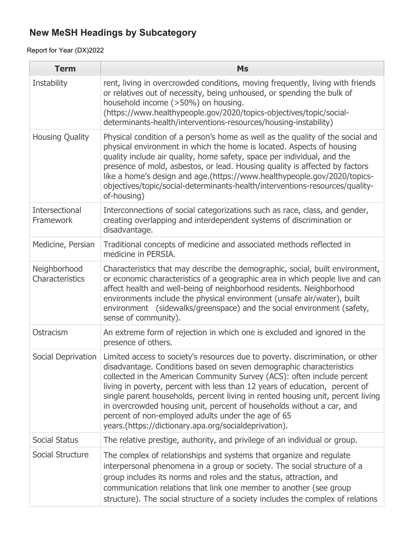| <b>Term</b>                        | <b>Ms</b>                                                                                                                                                                                                                                                                                                                                                                                                                                                                                                                                                                                  |
|------------------------------------|--------------------------------------------------------------------------------------------------------------------------------------------------------------------------------------------------------------------------------------------------------------------------------------------------------------------------------------------------------------------------------------------------------------------------------------------------------------------------------------------------------------------------------------------------------------------------------------------|
| Instability                        | rent, living in overcrowded conditions, moving frequently, living with friends<br>or relatives out of necessity, being unhoused, or spending the bulk of<br>household income (>50%) on housing.<br>(https://www.healthypeople.gov/2020/topics-objectives/topic/social-<br>determinants-health/interventions-resources/housing-instability)                                                                                                                                                                                                                                                 |
| <b>Housing Quality</b>             | Physical condition of a person's home as well as the quality of the social and<br>physical environment in which the home is located. Aspects of housing<br>quality include air quality, home safety, space per individual, and the<br>presence of mold, asbestos, or lead. Housing quality is affected by factors<br>like a home's design and age.(https://www.healthypeople.gov/2020/topics-<br>objectives/topic/social-determinants-health/interventions-resources/quality-<br>of-housing)                                                                                               |
| <b>Intersectional</b><br>Framework | Interconnections of social categorizations such as race, class, and gender,<br>creating overlapping and interdependent systems of discrimination or<br>disadvantage.                                                                                                                                                                                                                                                                                                                                                                                                                       |
| Medicine, Persian                  | Traditional concepts of medicine and associated methods reflected in<br>medicine in PERSIA.                                                                                                                                                                                                                                                                                                                                                                                                                                                                                                |
| Neighborhood<br>Characteristics    | Characteristics that may describe the demographic, social, built environment,<br>or economic characteristics of a geographic area in which people live and can<br>affect health and well-being of neighborhood residents. Neighborhood<br>environments include the physical environment (unsafe air/water), built<br>environment (sidewalks/greenspace) and the social environment (safety,<br>sense of community).                                                                                                                                                                        |
| Ostracism                          | An extreme form of rejection in which one is excluded and ignored in the<br>presence of others.                                                                                                                                                                                                                                                                                                                                                                                                                                                                                            |
| Social Deprivation                 | Limited access to society's resources due to poverty. discrimination, or other<br>disadvantage. Conditions based on seven demographic characteristics<br>collected in the American Community Survey (ACS): often include percent<br>living in poverty, percent with less than 12 years of education, percent of<br>single parent households, percent living in rented housing unit, percent living<br>in overcrowded housing unit, percent of households without a car, and<br>percent of non-employed adults under the age of 65<br>years.(https://dictionary.apa.org/socialdeprivation). |
| Social Status                      | The relative prestige, authority, and privilege of an individual or group.                                                                                                                                                                                                                                                                                                                                                                                                                                                                                                                 |
| Social Structure                   | The complex of relationships and systems that organize and regulate<br>interpersonal phenomena in a group or society. The social structure of a<br>group includes its norms and roles and the status, attraction, and<br>communication relations that link one member to another (see group<br>structure). The social structure of a society includes the complex of relations                                                                                                                                                                                                             |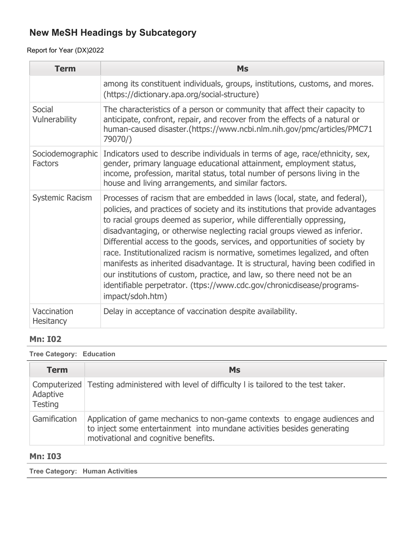## Report for Year (DX)2022

| <b>Term</b>                        | <b>Ms</b>                                                                                                                                                                                                                                                                                                                                                                                                                                                                                                                                                                                                                                                                                                                                   |
|------------------------------------|---------------------------------------------------------------------------------------------------------------------------------------------------------------------------------------------------------------------------------------------------------------------------------------------------------------------------------------------------------------------------------------------------------------------------------------------------------------------------------------------------------------------------------------------------------------------------------------------------------------------------------------------------------------------------------------------------------------------------------------------|
|                                    | among its constituent individuals, groups, institutions, customs, and mores.<br>(https://dictionary.apa.org/social-structure)                                                                                                                                                                                                                                                                                                                                                                                                                                                                                                                                                                                                               |
| Social<br>Vulnerability            | The characteristics of a person or community that affect their capacity to<br>anticipate, confront, repair, and recover from the effects of a natural or<br>human-caused disaster.(https://www.ncbi.nlm.nih.gov/pmc/articles/PMC71<br>79070/)                                                                                                                                                                                                                                                                                                                                                                                                                                                                                               |
| Sociodemographic<br><b>Factors</b> | Indicators used to describe individuals in terms of age, race/ethnicity, sex,<br>gender, primary language educational attainment, employment status,<br>income, profession, marital status, total number of persons living in the<br>house and living arrangements, and similar factors.                                                                                                                                                                                                                                                                                                                                                                                                                                                    |
| Systemic Racism                    | Processes of racism that are embedded in laws (local, state, and federal),<br>policies, and practices of society and its institutions that provide advantages<br>to racial groups deemed as superior, while differentially oppressing,<br>disadvantaging, or otherwise neglecting racial groups viewed as inferior.<br>Differential access to the goods, services, and opportunities of society by<br>race. Institutionalized racism is normative, sometimes legalized, and often<br>manifests as inherited disadvantage. It is structural, having been codified in<br>our institutions of custom, practice, and law, so there need not be an<br>identifiable perpetrator. (ttps://www.cdc.gov/chronicdisease/programs-<br>impact/sdoh.htm) |
| Vaccination<br>Hesitancy           | Delay in acceptance of vaccination despite availability.                                                                                                                                                                                                                                                                                                                                                                                                                                                                                                                                                                                                                                                                                    |

### **Mn: I02**

#### **Tree Category: Education**

| <b>Term</b>                | <b>Ms</b>                                                                                                                                                                                     |
|----------------------------|-----------------------------------------------------------------------------------------------------------------------------------------------------------------------------------------------|
| Adaptive<br><b>Testing</b> | Computerized   Testing administered with level of difficulty I is tailored to the test taker.                                                                                                 |
| Gamification               | Application of game mechanics to non-game contexts to engage audiences and<br>to inject some entertainment into mundane activities besides generating<br>motivational and cognitive benefits. |

### **Mn: I03**

**Tree Category: Human Activities**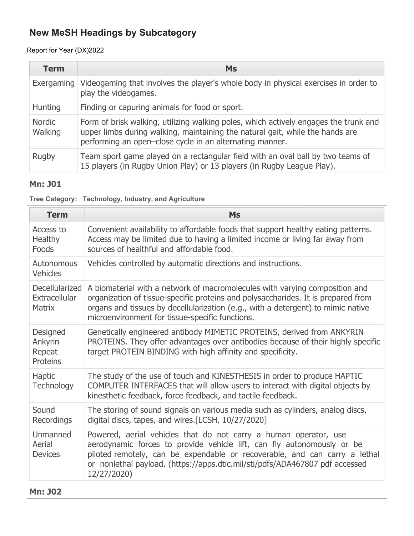### Report for Year (DX)2022

| <b>Term</b>              | <b>Ms</b>                                                                                                                                                                                                                         |
|--------------------------|-----------------------------------------------------------------------------------------------------------------------------------------------------------------------------------------------------------------------------------|
| Exergaming               | Videogaming that involves the player's whole body in physical exercises in order to<br>play the videogames.                                                                                                                       |
| <b>Hunting</b>           | Finding or capuring animals for food or sport.                                                                                                                                                                                    |
| <b>Nordic</b><br>Walking | Form of brisk walking, utilizing walking poles, which actively engages the trunk and<br>upper limbs during walking, maintaining the natural gait, while the hands are<br>performing an open-close cycle in an alternating manner. |
| Rugby                    | Team sport game played on a rectangular field with an oval ball by two teams of<br>15 players (in Rugby Union Play) or 13 players (in Rugby League Play).                                                                         |

### **Mn: J01**

**Tree Category: Technology, Industry, and Agriculture**

| <b>Term</b>                                      | <b>Ms</b>                                                                                                                                                                                                                                                                                                               |
|--------------------------------------------------|-------------------------------------------------------------------------------------------------------------------------------------------------------------------------------------------------------------------------------------------------------------------------------------------------------------------------|
| Access to<br>Healthy<br>Foods                    | Convenient availability to affordable foods that support healthy eating patterns.<br>Access may be limited due to having a limited income or living far away from<br>sources of healthful and affordable food.                                                                                                          |
| Autonomous<br><b>Vehicles</b>                    | Vehicles controlled by automatic directions and instructions.                                                                                                                                                                                                                                                           |
| Decellularized<br>Extracellular<br><b>Matrix</b> | A biomaterial with a network of macromolecules with varying composition and<br>organization of tissue-specific proteins and polysaccharides. It is prepared from<br>organs and tissues by decellularization (e.g., with a detergent) to mimic native<br>microenvironment for tissue-specific functions.                 |
| Designed<br>Ankyrin<br>Repeat<br>Proteins        | Genetically engineered antibody MIMETIC PROTEINS, derived from ANKYRIN<br>PROTEINS. They offer advantages over antibodies because of their highly specific<br>target PROTEIN BINDING with high affinity and specificity.                                                                                                |
| <b>Haptic</b><br><b>Technology</b>               | The study of the use of touch and KINESTHESIS in order to produce HAPTIC<br>COMPUTER INTERFACES that will allow users to interact with digital objects by<br>kinesthetic feedback, force feedback, and tactile feedback.                                                                                                |
| Sound<br>Recordings                              | The storing of sound signals on various media such as cylinders, analog discs,<br>digital discs, tapes, and wires.[LCSH, 10/27/2020]                                                                                                                                                                                    |
| Unmanned<br>Aerial<br><b>Devices</b>             | Powered, aerial vehicles that do not carry a human operator, use<br>aerodynamic forces to provide vehicle lift, can fly autonomously or be<br>piloted remotely, can be expendable or recoverable, and can carry a lethal<br>or nonlethal payload. (https://apps.dtic.mil/sti/pdfs/ADA467807 pdf accessed<br>12/27/2020) |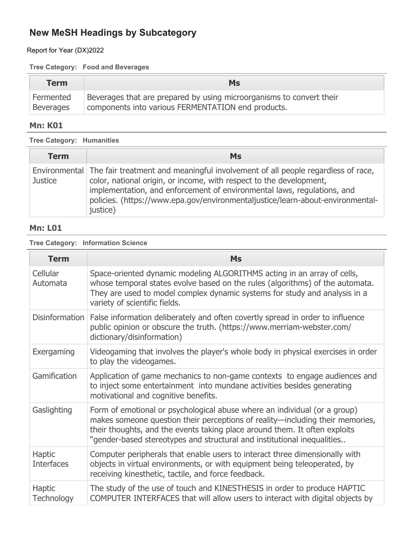Report for Year (DX)2022

#### **Tree Category: Food and Beverages**

| <b>Term</b>      | <b>Ms</b>                                                            |
|------------------|----------------------------------------------------------------------|
| Fermented        | Beverages that are prepared by using microorganisms to convert their |
| <b>Beverages</b> | components into various FERMENTATION end products.                   |

### **Mn: K01**

**Tree Category: Humanities**

| <b>Term</b>    | <b>Ms</b>                                                                                                                                                                                                                                                                                                                                     |
|----------------|-----------------------------------------------------------------------------------------------------------------------------------------------------------------------------------------------------------------------------------------------------------------------------------------------------------------------------------------------|
| <b>Justice</b> | Environmental The fair treatment and meaningful involvement of all people regardless of race,<br>color, national origin, or income, with respect to the development,<br>implementation, and enforcement of environmental laws, regulations, and<br>policies. (https://www.epa.gov/environmentaljustice/learn-about-environmental-<br>justice) |

### **Mn: L01**

**Tree Category: Information Science**

| <b>Term</b>                        | <b>Ms</b>                                                                                                                                                                                                                                                                                                           |
|------------------------------------|---------------------------------------------------------------------------------------------------------------------------------------------------------------------------------------------------------------------------------------------------------------------------------------------------------------------|
| Cellular<br>Automata               | Space-oriented dynamic modeling ALGORITHMS acting in an array of cells,<br>whose temporal states evolve based on the rules (algorithms) of the automata.<br>They are used to model complex dynamic systems for study and analysis in a<br>variety of scientific fields.                                             |
|                                    | Disinformation   False information deliberately and often covertly spread in order to influence<br>public opinion or obscure the truth. (https://www.merriam-webster.com/<br>dictionary/disinformation)                                                                                                             |
| Exergaming                         | Videogaming that involves the player's whole body in physical exercises in order<br>to play the videogames.                                                                                                                                                                                                         |
| Gamification                       | Application of game mechanics to non-game contexts to engage audiences and<br>to inject some entertainment into mundane activities besides generating<br>motivational and cognitive benefits.                                                                                                                       |
| Gaslighting                        | Form of emotional or psychological abuse where an individual (or a group)<br>makes someone question their perceptions of reality—including their memories,<br>their thoughts, and the events taking place around them. It often exploits<br>"gender-based stereotypes and structural and institutional inequalities |
| <b>Haptic</b><br><b>Interfaces</b> | Computer peripherals that enable users to interact three dimensionally with<br>objects in virtual environments, or with equipment being teleoperated, by<br>receiving kinesthetic, tactile, and force feedback.                                                                                                     |
| <b>Haptic</b><br>Technology        | The study of the use of touch and KINESTHESIS in order to produce HAPTIC<br>COMPUTER INTERFACES that will allow users to interact with digital objects by                                                                                                                                                           |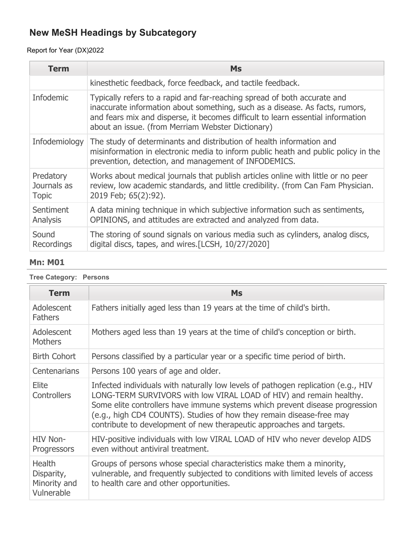## Report for Year (DX)2022

| <b>Term</b>                              | <b>Ms</b>                                                                                                                                                                                                                                                                                        |
|------------------------------------------|--------------------------------------------------------------------------------------------------------------------------------------------------------------------------------------------------------------------------------------------------------------------------------------------------|
|                                          | kinesthetic feedback, force feedback, and tactile feedback.                                                                                                                                                                                                                                      |
| <b>Infodemic</b>                         | Typically refers to a rapid and far-reaching spread of both accurate and<br>inaccurate information about something, such as a disease. As facts, rumors,<br>and fears mix and disperse, it becomes difficult to learn essential information<br>about an issue. (from Merriam Webster Dictionary) |
| Infodemiology                            | The study of determinants and distribution of health information and<br>misinformation in electronic media to inform public heath and public policy in the<br>prevention, detection, and management of INFODEMICS.                                                                               |
| Predatory<br>Journals as<br><b>Topic</b> | Works about medical journals that publish articles online with little or no peer<br>review, low academic standards, and little credibility. (from Can Fam Physician.<br>2019 Feb; 65(2):92).                                                                                                     |
| Sentiment<br>Analysis                    | A data mining technique in which subjective information such as sentiments,<br>OPINIONS, and attitudes are extracted and analyzed from data.                                                                                                                                                     |
| Sound<br>Recordings                      | The storing of sound signals on various media such as cylinders, analog discs,<br>digital discs, tapes, and wires.[LCSH, 10/27/2020]                                                                                                                                                             |

### **Mn: M01**

**Tree Category: Persons**

| <b>Term</b>                                               | <b>Ms</b>                                                                                                                                                                                                                                                                                                                                                                                |
|-----------------------------------------------------------|------------------------------------------------------------------------------------------------------------------------------------------------------------------------------------------------------------------------------------------------------------------------------------------------------------------------------------------------------------------------------------------|
| Adolescent<br><b>Fathers</b>                              | Fathers initially aged less than 19 years at the time of child's birth.                                                                                                                                                                                                                                                                                                                  |
| Adolescent<br><b>Mothers</b>                              | Mothers aged less than 19 years at the time of child's conception or birth.                                                                                                                                                                                                                                                                                                              |
| <b>Birth Cohort</b>                                       | Persons classified by a particular year or a specific time period of birth.                                                                                                                                                                                                                                                                                                              |
| <b>Centenarians</b>                                       | Persons 100 years of age and older.                                                                                                                                                                                                                                                                                                                                                      |
| Elite<br><b>Controllers</b>                               | Infected individuals with naturally low levels of pathogen replication (e.g., HIV<br>LONG-TERM SURVIVORS with low VIRAL LOAD of HIV) and remain healthy.<br>Some elite controllers have immune systems which prevent disease progression<br>(e.g., high CD4 COUNTS). Studies of how they remain disease-free may<br>contribute to development of new therapeutic approaches and targets. |
| HIV Non-<br>Progressors                                   | HIV-positive individuals with low VIRAL LOAD of HIV who never develop AIDS<br>even without antiviral treatment.                                                                                                                                                                                                                                                                          |
| <b>Health</b><br>Disparity,<br>Minority and<br>Vulnerable | Groups of persons whose special characteristics make them a minority,<br>vulnerable, and frequently subjected to conditions with limited levels of access<br>to health care and other opportunities.                                                                                                                                                                                     |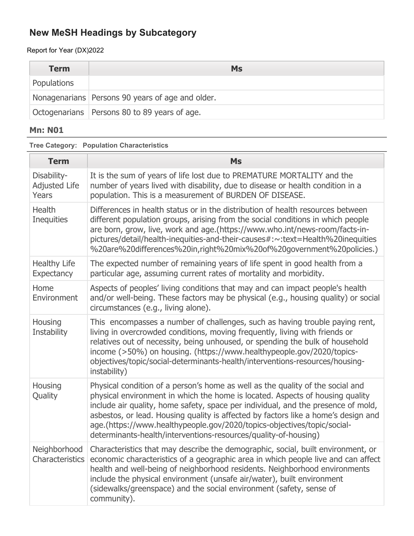Report for Year (DX)2022

| <b>Term</b> | <b>Ms</b>                                        |
|-------------|--------------------------------------------------|
| Populations |                                                  |
|             | Nonagenarians Persons 90 years of age and older. |
|             | Octogenarians   Persons 80 to 89 years of age.   |

### **Mn: N01**

**Tree Category: Population Characteristics**

| <b>Term</b>                                  | Ms                                                                                                                                                                                                                                                                                                                                                                                                                                                                                       |
|----------------------------------------------|------------------------------------------------------------------------------------------------------------------------------------------------------------------------------------------------------------------------------------------------------------------------------------------------------------------------------------------------------------------------------------------------------------------------------------------------------------------------------------------|
| Disability-<br><b>Adjusted Life</b><br>Years | It is the sum of years of life lost due to PREMATURE MORTALITY and the<br>number of years lived with disability, due to disease or health condition in a<br>population. This is a measurement of BURDEN OF DISEASE.                                                                                                                                                                                                                                                                      |
| <b>Health</b><br><b>Inequities</b>           | Differences in health status or in the distribution of health resources between<br>different population groups, arising from the social conditions in which people<br>are born, grow, live, work and age.(https://www.who.int/news-room/facts-in-<br>pictures/detail/health-inequities-and-their-causes#:~:text=Health%20inequities<br>%20are%20differences%20in,right%20mix%20of%20government%20policies.)                                                                              |
| <b>Healthy Life</b><br>Expectancy            | The expected number of remaining years of life spent in good health from a<br>particular age, assuming current rates of mortality and morbidity.                                                                                                                                                                                                                                                                                                                                         |
| Home<br>Environment                          | Aspects of peoples' living conditions that may and can impact people's health<br>and/or well-being. These factors may be physical (e.g., housing quality) or social<br>circumstances (e.g., living alone).                                                                                                                                                                                                                                                                               |
| Housing<br>Instability                       | This encompasses a number of challenges, such as having trouble paying rent,<br>living in overcrowded conditions, moving frequently, living with friends or<br>relatives out of necessity, being unhoused, or spending the bulk of household<br>income (>50%) on housing. (https://www.healthypeople.gov/2020/topics-<br>objectives/topic/social-determinants-health/interventions-resources/housing-<br>instability)                                                                    |
| Housing<br>Quality                           | Physical condition of a person's home as well as the quality of the social and<br>physical environment in which the home is located. Aspects of housing quality<br>include air quality, home safety, space per individual, and the presence of mold,<br>asbestos, or lead. Housing quality is affected by factors like a home's design and<br>age.(https://www.healthypeople.gov/2020/topics-objectives/topic/social-<br>determinants-health/interventions-resources/quality-of-housing) |
| Neighborhood<br>Characteristics              | Characteristics that may describe the demographic, social, built environment, or<br>economic characteristics of a geographic area in which people live and can affect<br>health and well-being of neighborhood residents. Neighborhood environments<br>include the physical environment (unsafe air/water), built environment<br>(sidewalks/greenspace) and the social environment (safety, sense of<br>community).                                                                      |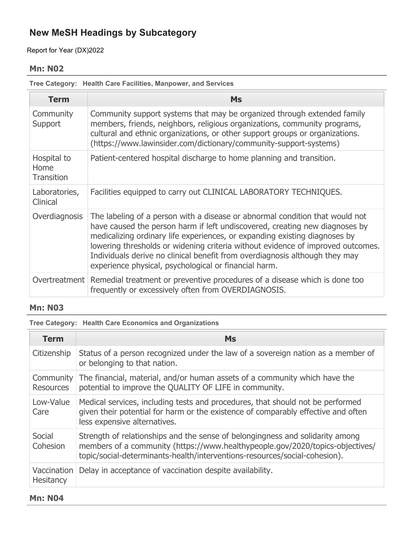Report for Year (DX)2022

#### **Mn: N02**

**Tree Category: Health Care Facilities, Manpower, and Services**

| <b>Term</b>                              | <b>Ms</b>                                                                                                                                                                                                                                                                                                                                                                                                                                                            |
|------------------------------------------|----------------------------------------------------------------------------------------------------------------------------------------------------------------------------------------------------------------------------------------------------------------------------------------------------------------------------------------------------------------------------------------------------------------------------------------------------------------------|
| Community<br>Support                     | Community support systems that may be organized through extended family<br>members, friends, neighbors, religious organizations, community programs,<br>cultural and ethnic organizations, or other support groups or organizations.<br>(https://www.lawinsider.com/dictionary/community-support-systems)                                                                                                                                                            |
| Hospital to<br>Home<br><b>Transition</b> | Patient-centered hospital discharge to home planning and transition.                                                                                                                                                                                                                                                                                                                                                                                                 |
| Laboratories,<br>Clinical                | Facilities equipped to carry out CLINICAL LABORATORY TECHNIQUES.                                                                                                                                                                                                                                                                                                                                                                                                     |
| Overdiagnosis                            | The labeling of a person with a disease or abnormal condition that would not<br>have caused the person harm if left undiscovered, creating new diagnoses by<br>medicalizing ordinary life experiences, or expanding existing diagnoses by<br>lowering thresholds or widening criteria without evidence of improved outcomes.<br>Individuals derive no clinical benefit from overdiagnosis although they may<br>experience physical, psychological or financial harm. |
|                                          | Overtreatment   Remedial treatment or preventive procedures of a disease which is done too<br>frequently or excessively often from OVERDIAGNOSIS.                                                                                                                                                                                                                                                                                                                    |

### **Mn: N03**

**Tree Category: Health Care Economics and Organizations**

| <b>Term</b>                   | <b>Ms</b>                                                                                                                                                                                                                                    |
|-------------------------------|----------------------------------------------------------------------------------------------------------------------------------------------------------------------------------------------------------------------------------------------|
| Citizenship                   | Status of a person recognized under the law of a sovereign nation as a member of<br>or belonging to that nation.                                                                                                                             |
| Community<br><b>Resources</b> | The financial, material, and/or human assets of a community which have the<br>potential to improve the QUALITY OF LIFE in community.                                                                                                         |
| Low-Value<br>Care             | Medical services, including tests and procedures, that should not be performed<br>given their potential for harm or the existence of comparably effective and often<br>less expensive alternatives.                                          |
| Social<br>Cohesion            | Strength of relationships and the sense of belongingness and solidarity among<br>members of a community (https://www.healthypeople.gov/2020/topics-objectives/<br>topic/social-determinants-health/interventions-resources/social-cohesion). |
| Vaccination<br>Hesitancy      | Delay in acceptance of vaccination despite availability.                                                                                                                                                                                     |

#### **Mn: N04**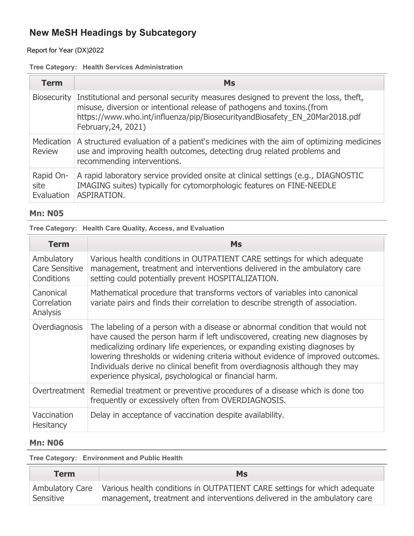## Report for Year (DX)2022

### **Tree Category: Health Services Administration**

| <b>Term</b>                     | Ms                                                                                                                                                                                                                                                                           |
|---------------------------------|------------------------------------------------------------------------------------------------------------------------------------------------------------------------------------------------------------------------------------------------------------------------------|
|                                 | Biosecurity Institutional and personal security measures designed to prevent the loss, theft,<br>misuse, diversion or intentional release of pathogens and toxins.(from<br>https://www.who.int/influenza/pip/BiosecurityandBiosafety_EN_20Mar2018.pdf<br>February, 24, 2021) |
| <b>Review</b>                   | Medication   A structured evaluation of a patient's medicines with the aim of optimizing medicines<br>use and improving health outcomes, detecting drug related problems and<br>recommending interventions.                                                                  |
| Rapid On-<br>site<br>Evaluation | A rapid laboratory service provided onsite at clinical settings (e.g., DIAGNOSTIC<br>IMAGING suites) typically for cytomorphologic features on FINE-NEEDLE<br>ASPIRATION.                                                                                                    |

### **Mn: N05**

|  |  |  |  |  |  |  | Tree Category: Health Care Quality, Access, and Evaluation |
|--|--|--|--|--|--|--|------------------------------------------------------------|
|--|--|--|--|--|--|--|------------------------------------------------------------|

| <b>Term</b>                                       | <b>Ms</b>                                                                                                                                                                                                                                                                                                                                                                                                                                                            |
|---------------------------------------------------|----------------------------------------------------------------------------------------------------------------------------------------------------------------------------------------------------------------------------------------------------------------------------------------------------------------------------------------------------------------------------------------------------------------------------------------------------------------------|
| Ambulatory<br><b>Care Sensitive</b><br>Conditions | Various health conditions in OUTPATIENT CARE settings for which adequate<br>management, treatment and interventions delivered in the ambulatory care<br>setting could potentially prevent HOSPITALIZATION.                                                                                                                                                                                                                                                           |
| Canonical<br>Correlation<br>Analysis              | Mathematical procedure that transforms vectors of variables into canonical<br>variate pairs and finds their correlation to describe strength of association.                                                                                                                                                                                                                                                                                                         |
| Overdiagnosis                                     | The labeling of a person with a disease or abnormal condition that would not<br>have caused the person harm if left undiscovered, creating new diagnoses by<br>medicalizing ordinary life experiences, or expanding existing diagnoses by<br>lowering thresholds or widening criteria without evidence of improved outcomes.<br>Individuals derive no clinical benefit from overdiagnosis although they may<br>experience physical, psychological or financial harm. |
|                                                   | Overtreatment Remedial treatment or preventive procedures of a disease which is done too<br>frequently or excessively often from OVERDIAGNOSIS.                                                                                                                                                                                                                                                                                                                      |
| Vaccination<br><b>Hesitancy</b>                   | Delay in acceptance of vaccination despite availability.                                                                                                                                                                                                                                                                                                                                                                                                             |

#### **Mn: N06**

**Tree Category: Environment and Public Health**

| <b>Term</b> | Ms                                                                                                                                                                     |
|-------------|------------------------------------------------------------------------------------------------------------------------------------------------------------------------|
| Sensitive   | Ambulatory Care   Various health conditions in OUTPATIENT CARE settings for which adequate<br>management, treatment and interventions delivered in the ambulatory care |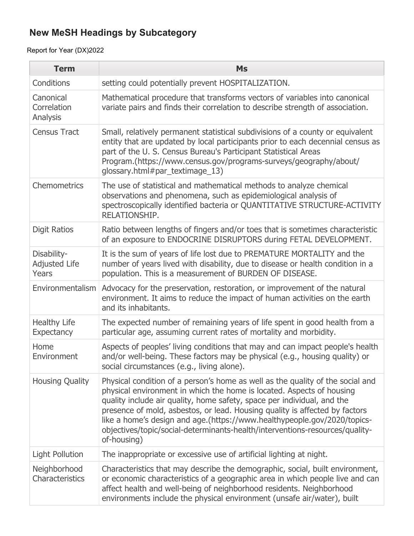| <b>Term</b>                                  | <b>Ms</b>                                                                                                                                                                                                                                                                                                                                                                                                                                                                                    |
|----------------------------------------------|----------------------------------------------------------------------------------------------------------------------------------------------------------------------------------------------------------------------------------------------------------------------------------------------------------------------------------------------------------------------------------------------------------------------------------------------------------------------------------------------|
| Conditions                                   | setting could potentially prevent HOSPITALIZATION.                                                                                                                                                                                                                                                                                                                                                                                                                                           |
| Canonical<br>Correlation<br>Analysis         | Mathematical procedure that transforms vectors of variables into canonical<br>variate pairs and finds their correlation to describe strength of association.                                                                                                                                                                                                                                                                                                                                 |
| <b>Census Tract</b>                          | Small, relatively permanent statistical subdivisions of a county or equivalent<br>entity that are updated by local participants prior to each decennial census as<br>part of the U. S. Census Bureau's Participant Statistical Areas<br>Program.(https://www.census.gov/programs-surveys/geography/about/<br>glossary.html#par_textimage_13)                                                                                                                                                 |
| Chemometrics                                 | The use of statistical and mathematical methods to analyze chemical<br>observations and phenomena, such as epidemiological analysis of<br>spectroscopically identified bacteria or QUANTITATIVE STRUCTURE-ACTIVITY<br>RELATIONSHIP.                                                                                                                                                                                                                                                          |
| <b>Digit Ratios</b>                          | Ratio between lengths of fingers and/or toes that is sometimes characteristic<br>of an exposure to ENDOCRINE DISRUPTORS during FETAL DEVELOPMENT.                                                                                                                                                                                                                                                                                                                                            |
| Disability-<br><b>Adjusted Life</b><br>Years | It is the sum of years of life lost due to PREMATURE MORTALITY and the<br>number of years lived with disability, due to disease or health condition in a<br>population. This is a measurement of BURDEN OF DISEASE.                                                                                                                                                                                                                                                                          |
|                                              | Environmentalism   Advocacy for the preservation, restoration, or improvement of the natural<br>environment. It aims to reduce the impact of human activities on the earth<br>and its inhabitants.                                                                                                                                                                                                                                                                                           |
| <b>Healthy Life</b><br><b>Expectancy</b>     | The expected number of remaining years of life spent in good health from a<br>particular age, assuming current rates of mortality and morbidity.                                                                                                                                                                                                                                                                                                                                             |
| Home<br>Environment                          | Aspects of peoples' living conditions that may and can impact people's health<br>and/or well-being. These factors may be physical (e.g., housing quality) or<br>social circumstances (e.g., living alone).                                                                                                                                                                                                                                                                                   |
| <b>Housing Quality</b>                       | Physical condition of a person's home as well as the quality of the social and<br>physical environment in which the home is located. Aspects of housing<br>quality include air quality, home safety, space per individual, and the<br>presence of mold, asbestos, or lead. Housing quality is affected by factors<br>like a home's design and age.(https://www.healthypeople.gov/2020/topics-<br>objectives/topic/social-determinants-health/interventions-resources/quality-<br>of-housing) |
| <b>Light Pollution</b>                       | The inappropriate or excessive use of artificial lighting at night.                                                                                                                                                                                                                                                                                                                                                                                                                          |
| Neighborhood<br>Characteristics              | Characteristics that may describe the demographic, social, built environment,<br>or economic characteristics of a geographic area in which people live and can<br>affect health and well-being of neighborhood residents. Neighborhood<br>environments include the physical environment (unsafe air/water), built                                                                                                                                                                            |